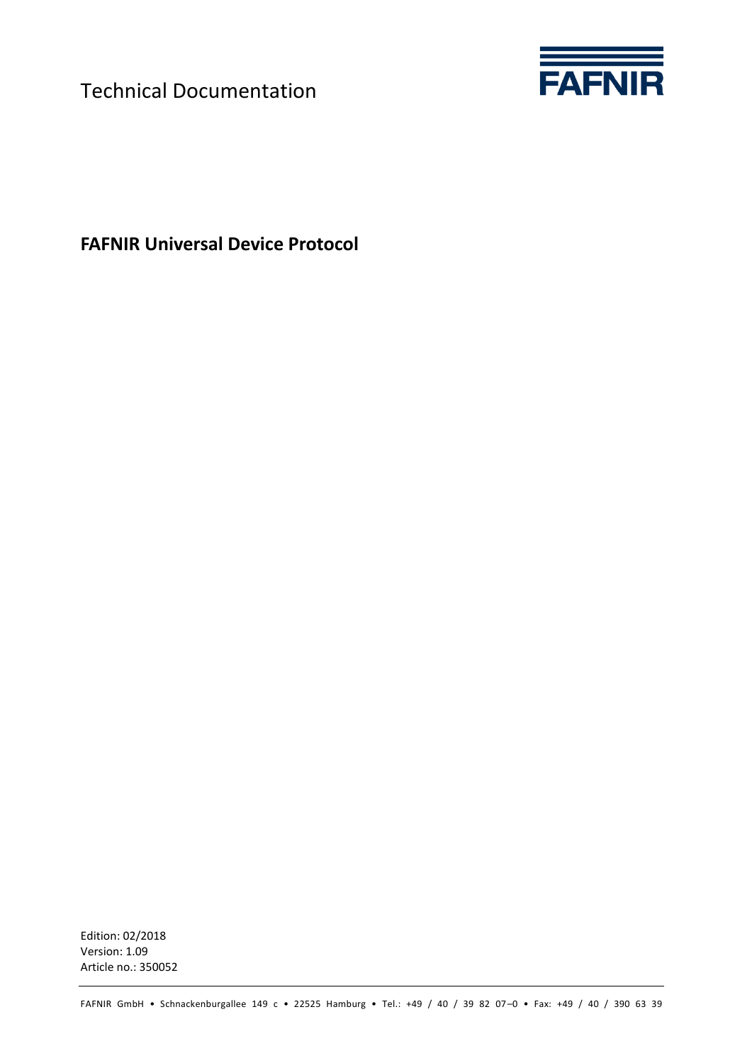<span id="page-0-0"></span>Technical Documentation



**FAFNIR Universal Device Protocol**

Edition: 02/2018 Version: 1.09 Article no.: 350052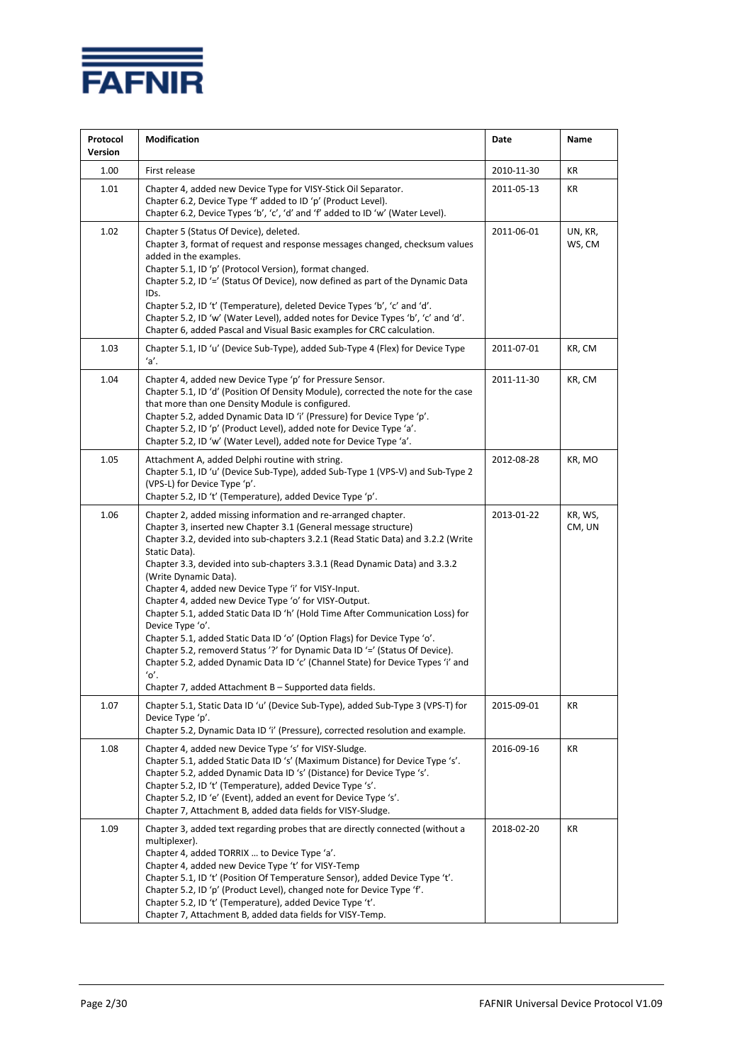

| Protocol<br>Version | <b>Modification</b>                                                                                                                                                                                                                                                                                                                                                                                                                                                                                                                                                                                                                                                                                                                                                                                                                                                                   | Date       | Name              |
|---------------------|---------------------------------------------------------------------------------------------------------------------------------------------------------------------------------------------------------------------------------------------------------------------------------------------------------------------------------------------------------------------------------------------------------------------------------------------------------------------------------------------------------------------------------------------------------------------------------------------------------------------------------------------------------------------------------------------------------------------------------------------------------------------------------------------------------------------------------------------------------------------------------------|------------|-------------------|
| 1.00                | First release                                                                                                                                                                                                                                                                                                                                                                                                                                                                                                                                                                                                                                                                                                                                                                                                                                                                         | 2010-11-30 | KR                |
| 1.01                | Chapter 4, added new Device Type for VISY-Stick Oil Separator.<br>Chapter 6.2, Device Type 'f' added to ID 'p' (Product Level).<br>Chapter 6.2, Device Types 'b', 'c', 'd' and 'f' added to ID 'w' (Water Level).                                                                                                                                                                                                                                                                                                                                                                                                                                                                                                                                                                                                                                                                     | 2011-05-13 | КR                |
| 1.02                | Chapter 5 (Status Of Device), deleted.<br>Chapter 3, format of request and response messages changed, checksum values<br>added in the examples.<br>Chapter 5.1, ID 'p' (Protocol Version), format changed.<br>Chapter 5.2, ID '=' (Status Of Device), now defined as part of the Dynamic Data<br>IDs.<br>Chapter 5.2, ID 't' (Temperature), deleted Device Types 'b', 'c' and 'd'.<br>Chapter 5.2, ID 'w' (Water Level), added notes for Device Types 'b', 'c' and 'd'.<br>Chapter 6, added Pascal and Visual Basic examples for CRC calculation.                                                                                                                                                                                                                                                                                                                                     | 2011-06-01 | UN, KR,<br>WS, CM |
| 1.03                | Chapter 5.1, ID 'u' (Device Sub-Type), added Sub-Type 4 (Flex) for Device Type<br>'a'.                                                                                                                                                                                                                                                                                                                                                                                                                                                                                                                                                                                                                                                                                                                                                                                                | 2011-07-01 | KR, CM            |
| 1.04                | Chapter 4, added new Device Type 'p' for Pressure Sensor.<br>Chapter 5.1, ID 'd' (Position Of Density Module), corrected the note for the case<br>that more than one Density Module is configured.<br>Chapter 5.2, added Dynamic Data ID 'i' (Pressure) for Device Type 'p'.<br>Chapter 5.2, ID 'p' (Product Level), added note for Device Type 'a'.<br>Chapter 5.2, ID 'w' (Water Level), added note for Device Type 'a'.                                                                                                                                                                                                                                                                                                                                                                                                                                                            | 2011-11-30 | KR, CM            |
| 1.05                | Attachment A, added Delphi routine with string.<br>Chapter 5.1, ID 'u' (Device Sub-Type), added Sub-Type 1 (VPS-V) and Sub-Type 2<br>(VPS-L) for Device Type 'p'.<br>Chapter 5.2, ID 't' (Temperature), added Device Type 'p'.                                                                                                                                                                                                                                                                                                                                                                                                                                                                                                                                                                                                                                                        | 2012-08-28 | KR, MO            |
| 1.06                | Chapter 2, added missing information and re-arranged chapter.<br>Chapter 3, inserted new Chapter 3.1 (General message structure)<br>Chapter 3.2, devided into sub-chapters 3.2.1 (Read Static Data) and 3.2.2 (Write<br>Static Data).<br>Chapter 3.3, devided into sub-chapters 3.3.1 (Read Dynamic Data) and 3.3.2<br>(Write Dynamic Data).<br>Chapter 4, added new Device Type 'i' for VISY-Input.<br>Chapter 4, added new Device Type 'o' for VISY-Output.<br>Chapter 5.1, added Static Data ID 'h' (Hold Time After Communication Loss) for<br>Device Type 'o'.<br>Chapter 5.1, added Static Data ID 'o' (Option Flags) for Device Type 'o'.<br>Chapter 5.2, removerd Status '?' for Dynamic Data ID '=' (Status Of Device).<br>Chapter 5.2, added Dynamic Data ID 'c' (Channel State) for Device Types 'i' and<br>'o'.<br>Chapter 7, added Attachment B – Supported data fields. | 2013-01-22 | KR, WS,<br>CM, UN |
| 1.07                | Chapter 5.1, Static Data ID 'u' (Device Sub-Type), added Sub-Type 3 (VPS-T) for<br>Device Type 'p'.<br>Chapter 5.2, Dynamic Data ID 'i' (Pressure), corrected resolution and example.                                                                                                                                                                                                                                                                                                                                                                                                                                                                                                                                                                                                                                                                                                 | 2015-09-01 | КR                |
| 1.08                | Chapter 4, added new Device Type 's' for VISY-Sludge.<br>Chapter 5.1, added Static Data ID 's' (Maximum Distance) for Device Type 's'.<br>Chapter 5.2, added Dynamic Data ID 's' (Distance) for Device Type 's'.<br>Chapter 5.2, ID 't' (Temperature), added Device Type 's'.<br>Chapter 5.2, ID 'e' (Event), added an event for Device Type 's'.<br>Chapter 7, Attachment B, added data fields for VISY-Sludge.                                                                                                                                                                                                                                                                                                                                                                                                                                                                      | 2016-09-16 | КR                |
| 1.09                | Chapter 3, added text regarding probes that are directly connected (without a<br>multiplexer).<br>Chapter 4, added TORRIX  to Device Type 'a'.<br>Chapter 4, added new Device Type 't' for VISY-Temp<br>Chapter 5.1, ID 't' (Position Of Temperature Sensor), added Device Type 't'.<br>Chapter 5.2, ID 'p' (Product Level), changed note for Device Type 'f'.<br>Chapter 5.2, ID 't' (Temperature), added Device Type 't'.<br>Chapter 7, Attachment B, added data fields for VISY-Temp.                                                                                                                                                                                                                                                                                                                                                                                              | 2018-02-20 | KR                |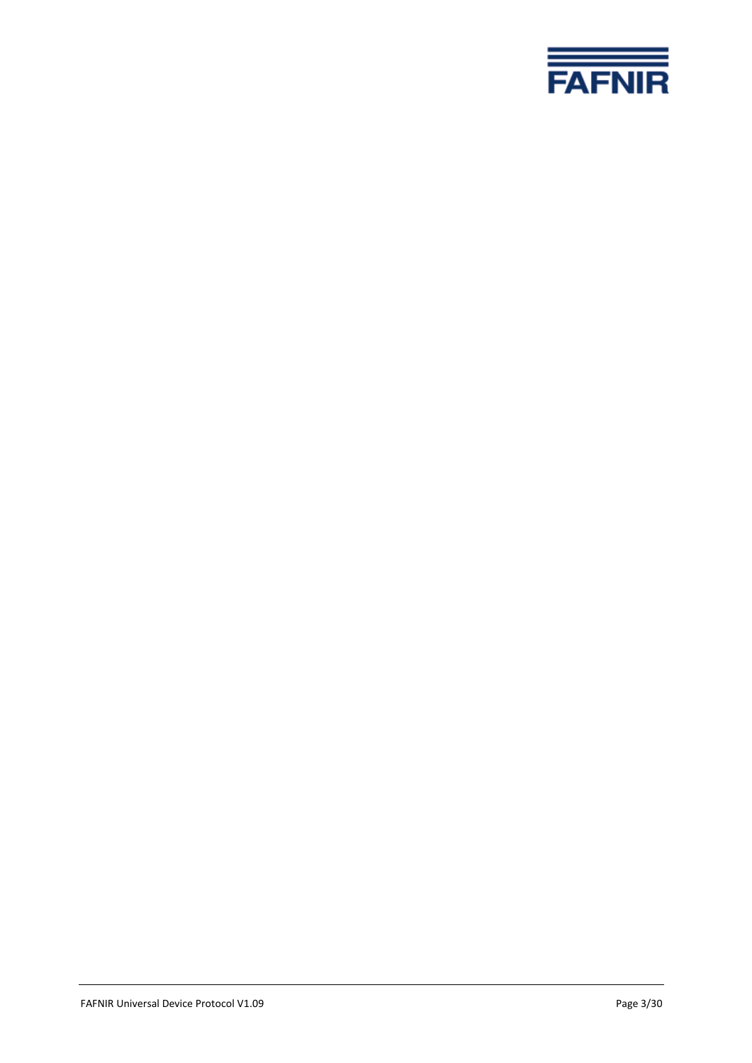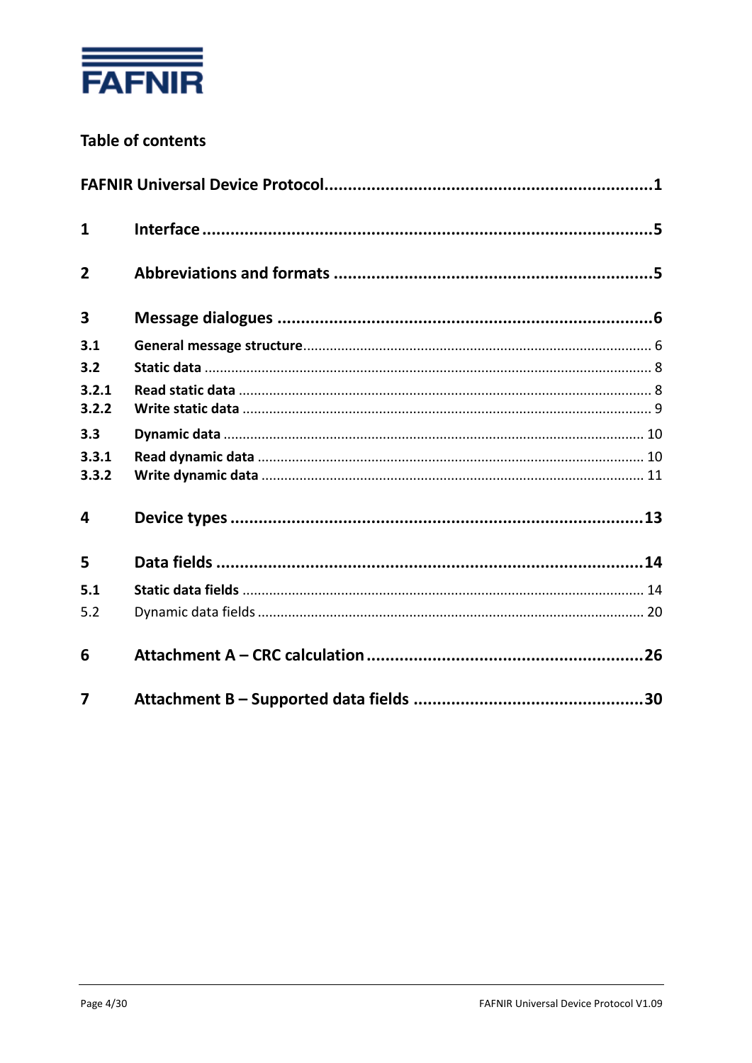

# **Table of contents**

| $\mathbf{1}$   |  |
|----------------|--|
| $\overline{2}$ |  |
| 3              |  |
| 3.1            |  |
| 3.2            |  |
| 3.2.1<br>3.2.2 |  |
| 3.3            |  |
| 3.3.1<br>3.3.2 |  |
| 4              |  |
| 5              |  |
| 5.1            |  |
| 5.2            |  |
| 6              |  |
| 7              |  |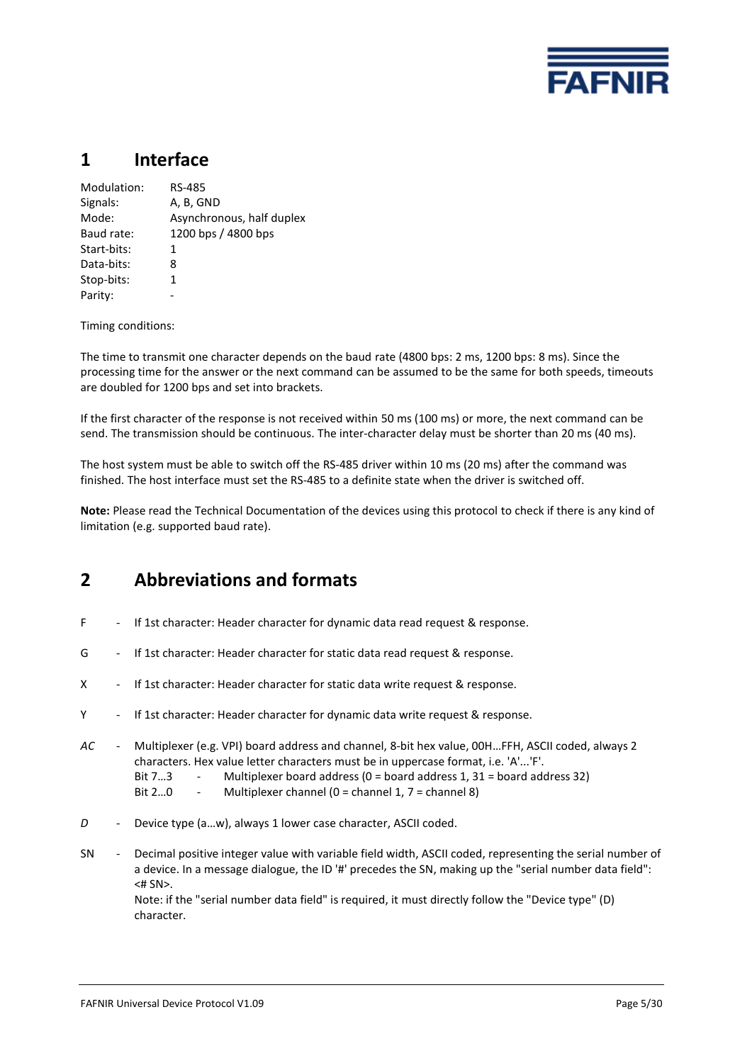

# <span id="page-4-0"></span>**1 Interface**

| Modulation: | RS-485                    |
|-------------|---------------------------|
| Signals:    | A, B, GND                 |
| Mode:       | Asynchronous, half duplex |
| Baud rate:  | 1200 bps / 4800 bps       |
| Start-bits: | 1                         |
| Data-bits:  | 8                         |
| Stop-bits:  | 1                         |
| Parity:     |                           |

Timing conditions:

The time to transmit one character depends on the baud rate (4800 bps: 2 ms, 1200 bps: 8 ms). Since the processing time for the answer or the next command can be assumed to be the same for both speeds, timeouts are doubled for 1200 bps and set into brackets.

If the first character of the response is not received within 50 ms (100 ms) or more, the next command can be send. The transmission should be continuous. The inter-character delay must be shorter than 20 ms (40 ms).

The host system must be able to switch off the RS-485 driver within 10 ms (20 ms) after the command was finished. The host interface must set the RS-485 to a definite state when the driver is switched off.

**Note:** Please read the Technical Documentation of the devices using this protocol to check if there is any kind of limitation (e.g. supported baud rate).

# <span id="page-4-1"></span>**2 Abbreviations and formats**

- F If 1st character: Header character for dynamic data read request & response.
- G If 1st character: Header character for static data read request & response.
- X If 1st character: Header character for static data write request & response.
- Y If 1st character: Header character for dynamic data write request & response.
- *AC* Multiplexer (e.g. VPI) board address and channel, 8-bit hex value, 00H…FFH, ASCII coded, always 2 characters. Hex value letter characters must be in uppercase format, i.e. 'A'...'F'. Bit 7...3 - Multiplexer board address (0 = board address 1, 31 = board address 32) Bit 2...0 - Multiplexer channel  $(0 =$  channel 1, 7 = channel 8)
- *D* Device type (a…w), always 1 lower case character, ASCII coded.
- SN Decimal positive integer value with variable field width, ASCII coded, representing the serial number of a device. In a message dialogue, the ID '#' precedes the SN, making up the "serial number data field": <# SN>. Note: if the "serial number data field" is required, it must directly follow the "Device type" (D) character.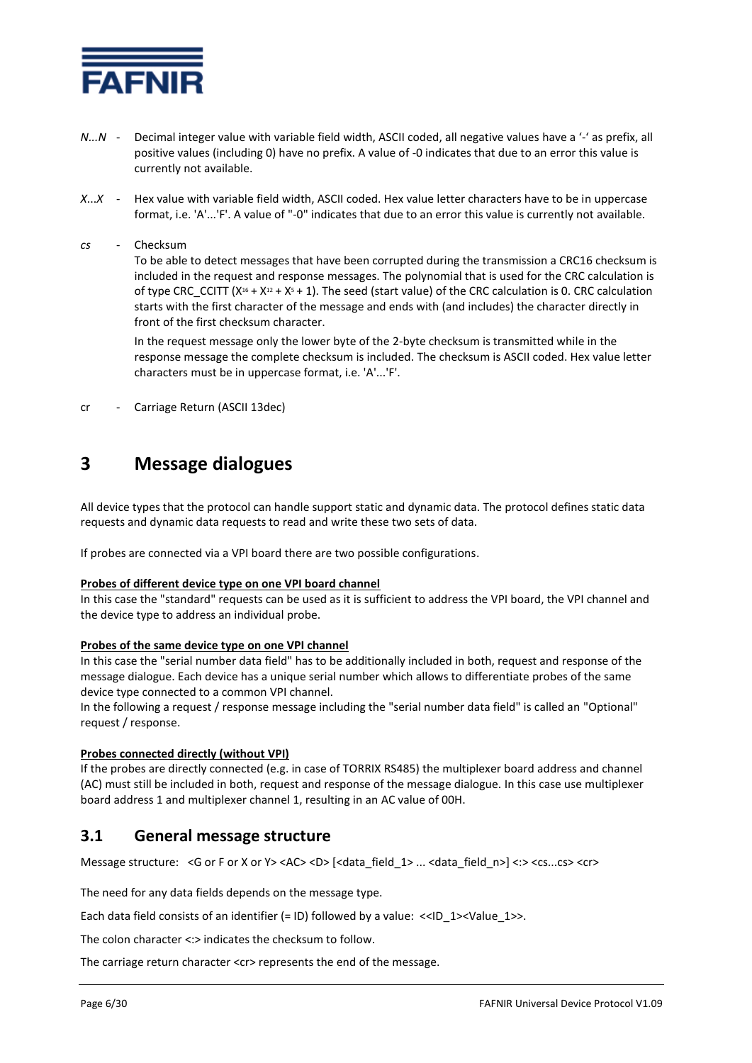

- *N...N* Decimal integer value with variable field width, ASCII coded, all negative values have a '-' as prefix, all positive values (including 0) have no prefix. A value of -0 indicates that due to an error this value is currently not available.
- *X*...*X* Hex value with variable field width, ASCII coded. Hex value letter characters have to be in uppercase format, i.e. 'A'...'F'. A value of "-0" indicates that due to an error this value is currently not available.
- *cs* Checksum

To be able to detect messages that have been corrupted during the transmission a CRC16 checksum is included in the request and response messages. The polynomial that is used for the CRC calculation is of type CRC\_CCITT ( $X^{16} + X^{12} + X^{5} + 1$ ). The seed (start value) of the CRC calculation is 0. CRC calculation starts with the first character of the message and ends with (and includes) the character directly in front of the first checksum character.

In the request message only the lower byte of the 2-byte checksum is transmitted while in the response message the complete checksum is included. The checksum is ASCII coded. Hex value letter characters must be in uppercase format, i.e. 'A'...'F'.

cr - Carriage Return (ASCII 13dec)

# <span id="page-5-0"></span>**3 Message dialogues**

All device types that the protocol can handle support static and dynamic data. The protocol defines static data requests and dynamic data requests to read and write these two sets of data.

If probes are connected via a VPI board there are two possible configurations.

## **Probes of different device type on one VPI board channel**

In this case the "standard" requests can be used as it is sufficient to address the VPI board, the VPI channel and the device type to address an individual probe.

## **Probes of the same device type on one VPI channel**

In this case the "serial number data field" has to be additionally included in both, request and response of the message dialogue. Each device has a unique serial number which allows to differentiate probes of the same device type connected to a common VPI channel.

In the following a request / response message including the "serial number data field" is called an "Optional" request / response.

## **Probes connected directly (without VPI)**

If the probes are directly connected (e.g. in case of TORRIX RS485) the multiplexer board address and channel (AC) must still be included in both, request and response of the message dialogue. In this case use multiplexer board address 1 and multiplexer channel 1, resulting in an AC value of 00H.

# <span id="page-5-1"></span>**3.1 General message structure**

Message structure: <G or F or X or Y><AC><D>[<data\_field\_1> ... <data\_field\_n>] <:><cs...cs><cr>

The need for any data fields depends on the message type.

Each data field consists of an identifier  $(=$  ID) followed by a value:  $\langle$  </ID 1> <Value 1>>.

The colon character <:> indicates the checksum to follow.

The carriage return character <cr> represents the end of the message.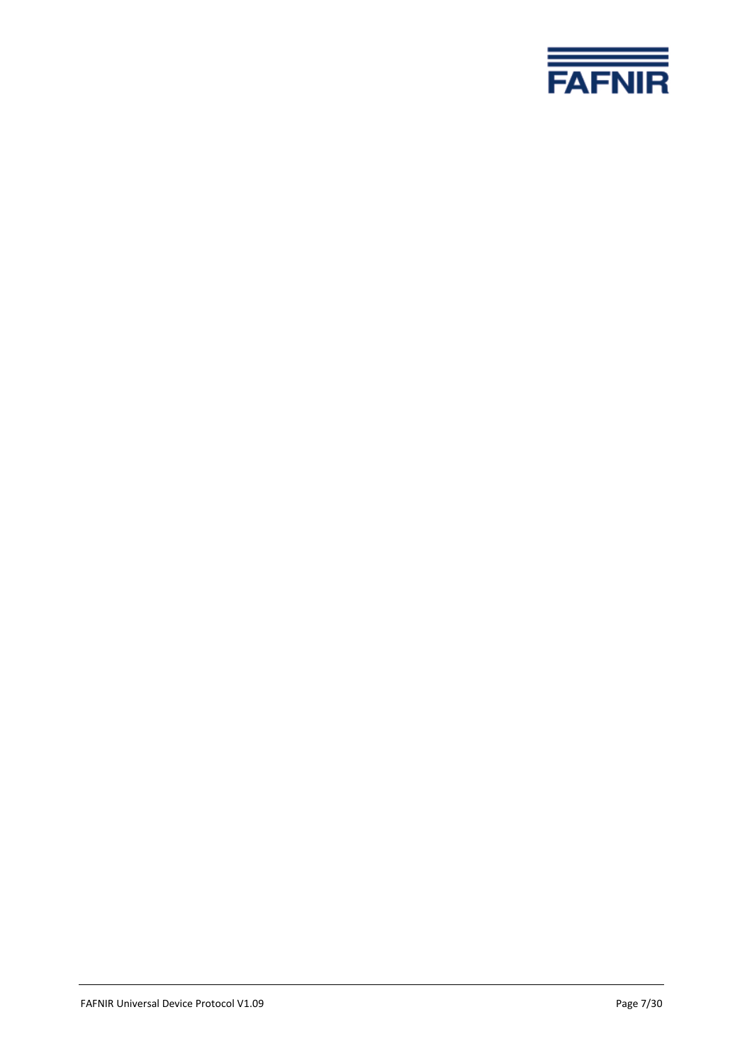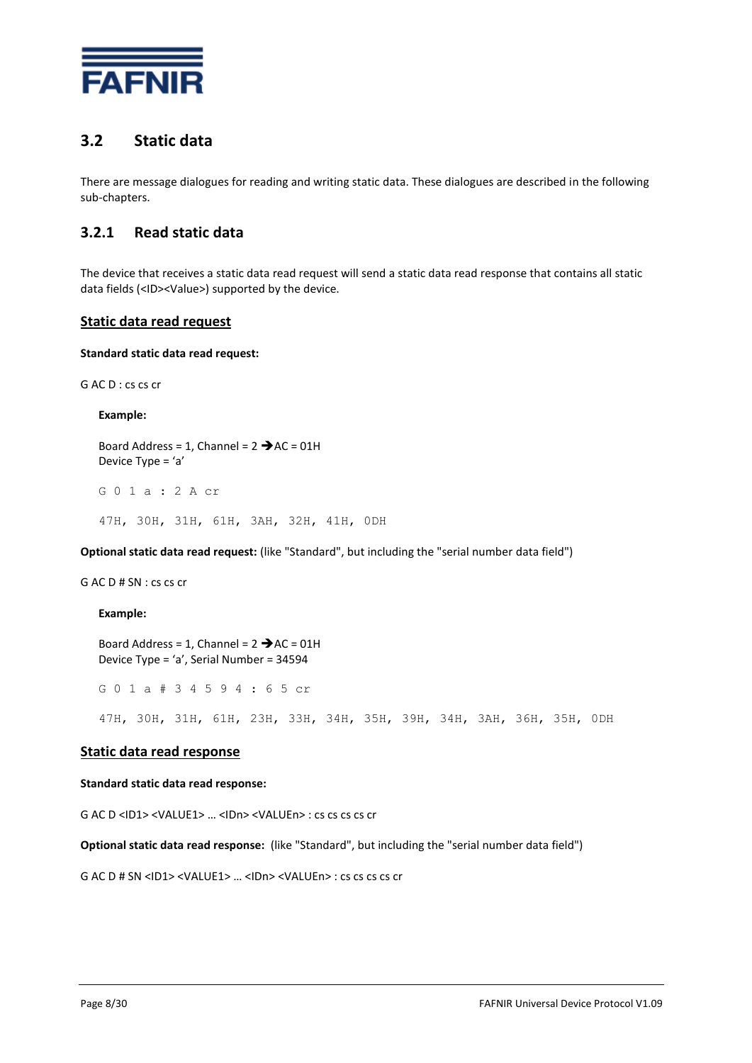

# <span id="page-7-0"></span>**3.2 Static data**

There are message dialogues for reading and writing static data. These dialogues are described in the following sub-chapters.

# <span id="page-7-1"></span>**3.2.1 Read static data**

The device that receives a static data read request will send a static data read response that contains all static data fields (<ID><Value>) supported by the device.

# **Static data read request**

#### **Standard static data read request:**

G AC D : cs cs cr

**Example:**

Board Address = 1, Channel =  $2 \rightarrow AC = 01H$ Device Type = 'a'

G 0 1 a : 2 A cr

47H, 30H, 31H, 61H, 3AH, 32H, 41H, 0DH

**Optional static data read request:** (like "Standard", but including the "serial number data field")

G AC D # SN : cs cs cr

## **Example:**

Board Address = 1, Channel =  $2 \rightarrow AC = 01H$ Device Type = 'a', Serial Number = 34594

G 0 1 a # 3 4 5 9 4 : 6 5 cr

47H, 30H, 31H, 61H, 23H, 33H, 34H, 35H, 39H, 34H, 3AH, 36H, 35H, 0DH

## **Static data read response**

### **Standard static data read response:**

G AC D <ID1> <VALUE1> … <IDn> <VALUEn> : cs cs cs cs cr

**Optional static data read response:** (like "Standard", but including the "serial number data field")

G AC D # SN <ID1> <VALUE1> … <IDn> <VALUEn> : cs cs cs cs cr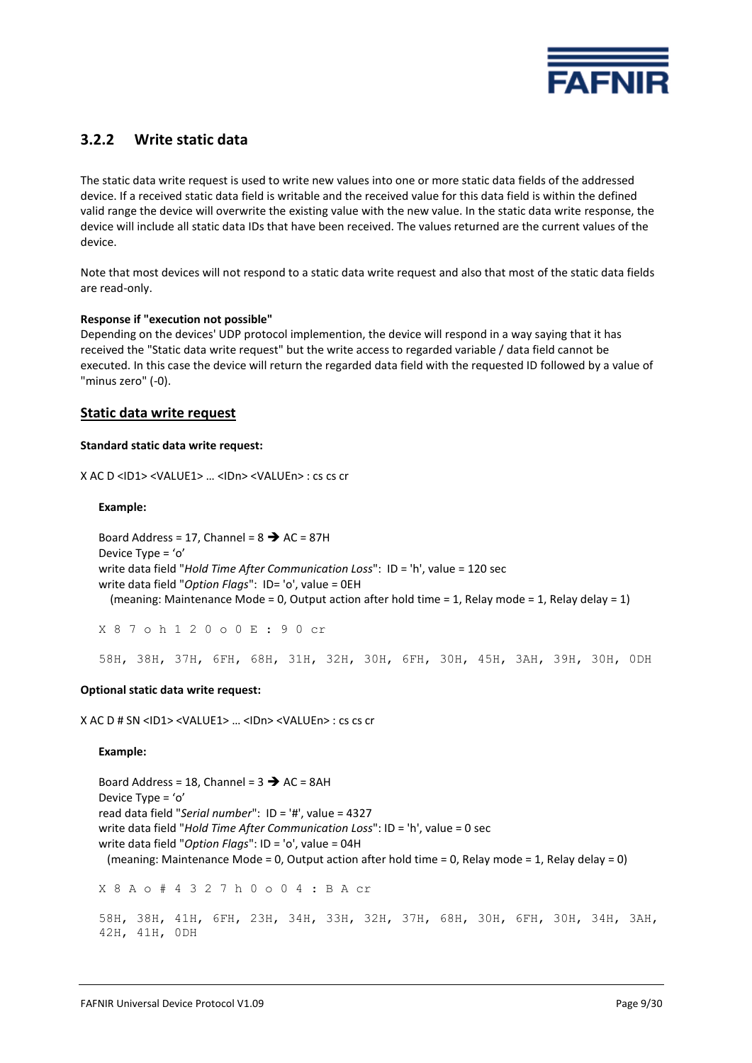

# <span id="page-8-0"></span>**3.2.2 Write static data**

The static data write request is used to write new values into one or more static data fields of the addressed device. If a received static data field is writable and the received value for this data field is within the defined valid range the device will overwrite the existing value with the new value. In the static data write response, the device will include all static data IDs that have been received. The values returned are the current values of the device.

Note that most devices will not respond to a static data write request and also that most of the static data fields are read-only.

## **Response if "execution not possible"**

Depending on the devices' UDP protocol implemention, the device will respond in a way saying that it has received the "Static data write request" but the write access to regarded variable / data field cannot be executed. In this case the device will return the regarded data field with the requested ID followed by a value of "minus zero" (-0).

## **Static data write request**

## **Standard static data write request:**

```
X AC D <ID1> <VALUE1> … <IDn> <VALUEn> : cs cs cr
```
**Example:**

Board Address = 17, Channel =  $8 \rightarrow AC = 87H$ Device Type = 'o' write data field "*Hold Time After Communication Loss*": ID = 'h', value = 120 sec write data field "*Option Flags*": ID= 'o', value = 0EH (meaning: Maintenance Mode = 0, Output action after hold time = 1, Relay mode = 1, Relay delay = 1)

X 8 7 o h 1 2 0 o 0 E : 9 0 cr

58H, 38H, 37H, 6FH, 68H, 31H, 32H, 30H, 6FH, 30H, 45H, 3AH, 39H, 30H, 0DH

## **Optional static data write request:**

X AC D # SN <ID1> <VALUE1> … <IDn> <VALUEn> : cs cs cr

#### **Example:**

Board Address = 18, Channel =  $3 \rightarrow AC = 8AH$ Device Type = 'o' read data field "*Serial number*": ID = '#', value = 4327 write data field "*Hold Time After Communication Loss*": ID = 'h', value = 0 sec write data field "*Option Flags*": ID = 'o', value = 04H (meaning: Maintenance Mode = 0, Output action after hold time = 0, Relay mode = 1, Relay delay = 0) X 8 A o # 4 3 2 7 h 0 o 0 4 : B A cr 58H, 38H, 41H, 6FH, 23H, 34H, 33H, 32H, 37H, 68H, 30H, 6FH, 30H, 34H, 3AH, 42H, 41H, 0DH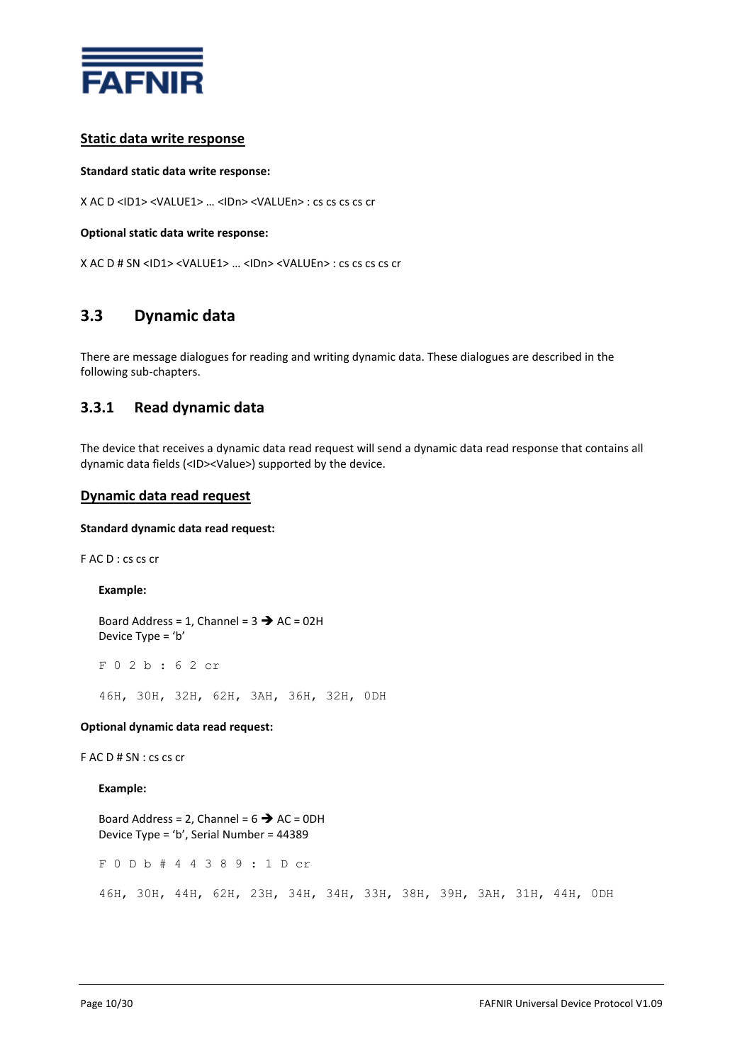

# **Static data write response**

## **Standard static data write response:**

X AC D <ID1> <VALUE1> … <IDn> <VALUEn> : cs cs cs cs cr

## **Optional static data write response:**

X AC D # SN <ID1> <VALUE1> … <IDn> <VALUEn> : cs cs cs cs cr

# <span id="page-9-0"></span>**3.3 Dynamic data**

There are message dialogues for reading and writing dynamic data. These dialogues are described in the following sub-chapters.

# <span id="page-9-1"></span>**3.3.1 Read dynamic data**

The device that receives a dynamic data read request will send a dynamic data read response that contains all dynamic data fields (<ID><Value>) supported by the device.

## **Dynamic data read request**

#### **Standard dynamic data read request:**

F AC D : cs cs cr

**Example:**

Board Address = 1, Channel =  $3 \rightarrow AC = 02H$ Device Type = 'b'

F 0 2 b : 6 2 cr

46H, 30H, 32H, 62H, 3AH, 36H, 32H, 0DH

#### **Optional dynamic data read request:**

F AC D # SN : cs cs cr

#### **Example:**

Board Address = 2, Channel =  $6 \rightarrow AC = ODH$ Device Type = 'b', Serial Number = 44389

F 0 D b # 4 4 3 8 9 : 1 D cr

46H, 30H, 44H, 62H, 23H, 34H, 34H, 33H, 38H, 39H, 3AH, 31H, 44H, 0DH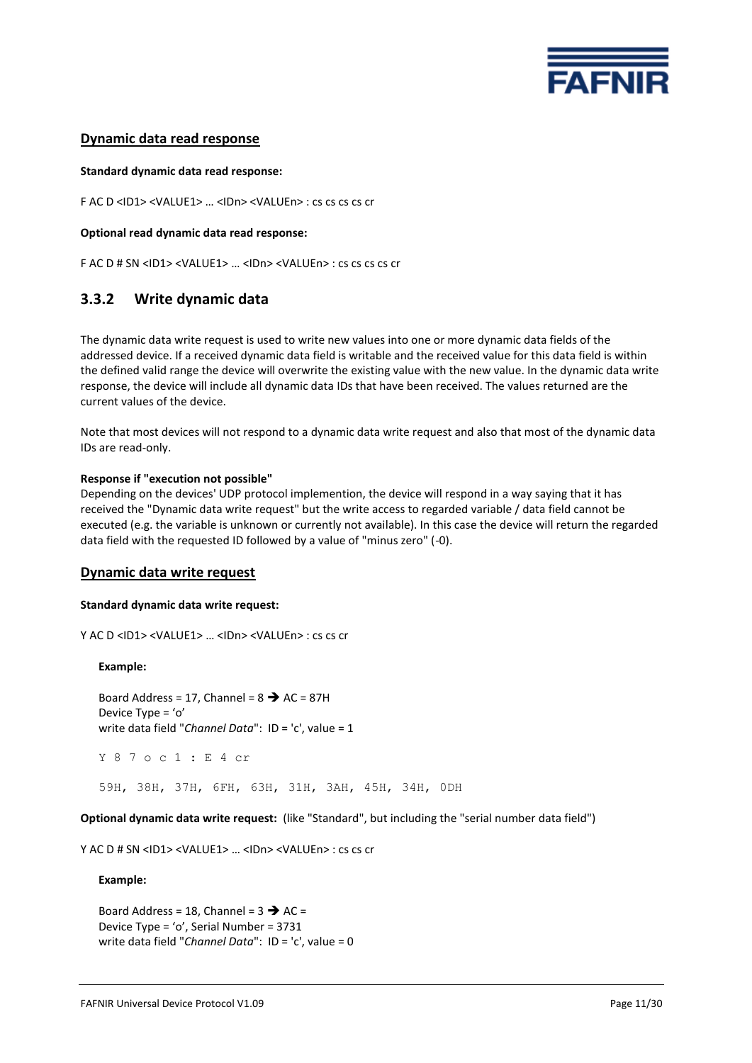

# **Dynamic data read response**

#### **Standard dynamic data read response:**

F AC D <ID1> <VALUE1> … <IDn> <VALUEn> : cs cs cs cs cr

#### **Optional read dynamic data read response:**

<span id="page-10-0"></span>F AC D # SN <ID1> <VALUE1> … <IDn> <VALUEn> : cs cs cs cs cr

# **3.3.2 Write dynamic data**

The dynamic data write request is used to write new values into one or more dynamic data fields of the addressed device. If a received dynamic data field is writable and the received value for this data field is within the defined valid range the device will overwrite the existing value with the new value. In the dynamic data write response, the device will include all dynamic data IDs that have been received. The values returned are the current values of the device.

Note that most devices will not respond to a dynamic data write request and also that most of the dynamic data IDs are read-only.

#### **Response if "execution not possible"**

Depending on the devices' UDP protocol implemention, the device will respond in a way saying that it has received the "Dynamic data write request" but the write access to regarded variable / data field cannot be executed (e.g. the variable is unknown or currently not available). In this case the device will return the regarded data field with the requested ID followed by a value of "minus zero" (-0).

## **Dynamic data write request**

#### **Standard dynamic data write request:**

Y AC D <ID1> <VALUE1> … <IDn> <VALUEn> : cs cs cr

**Example:**

Board Address = 17, Channel =  $8 \rightarrow AC = 87H$ Device Type = 'o' write data field "*Channel Data*": ID = 'c', value = 1

Y 8 7 o c 1 : E 4 cr

59H, 38H, 37H, 6FH, 63H, 31H, 3AH, 45H, 34H, 0DH

**Optional dynamic data write request:** (like "Standard", but including the "serial number data field")

Y AC D # SN <ID1> <VALUE1> … <IDn> <VALUEn> : cs cs cr

#### **Example:**

Board Address = 18, Channel =  $3 \rightarrow AC =$ Device Type = 'o', Serial Number = 3731 write data field "*Channel Data*": ID = 'c', value = 0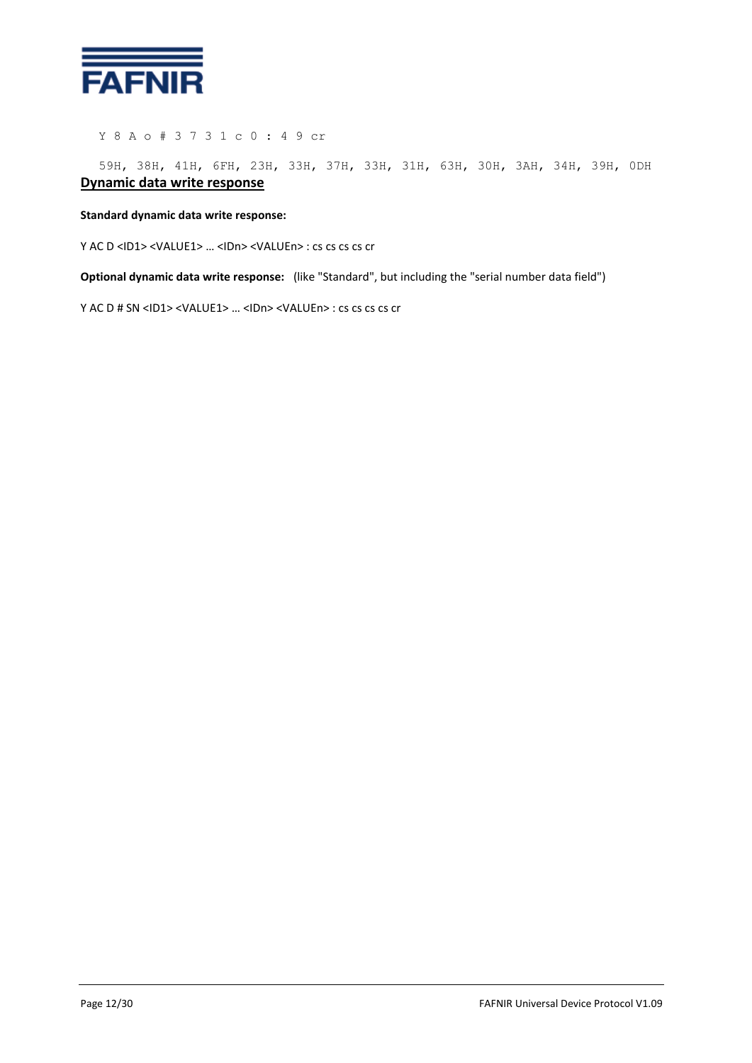

Y 8 A o # 3 7 3 1 c 0 : 4 9 cr

# 59H, 38H, 41H, 6FH, 23H, 33H, 37H, 33H, 31H, 63H, 30H, 3AH, 34H, 39H, 0DH **Dynamic data write response**

## **Standard dynamic data write response:**

Y AC D <ID1> <VALUE1> ... <IDn> <VALUEn> : cs cs cs cs cr

**Optional dynamic data write response:** (like "Standard", but including the "serial number data field")

Y AC D # SN <ID1> <VALUE1> ... <IDn> <VALUEn> : cs cs cs cs cr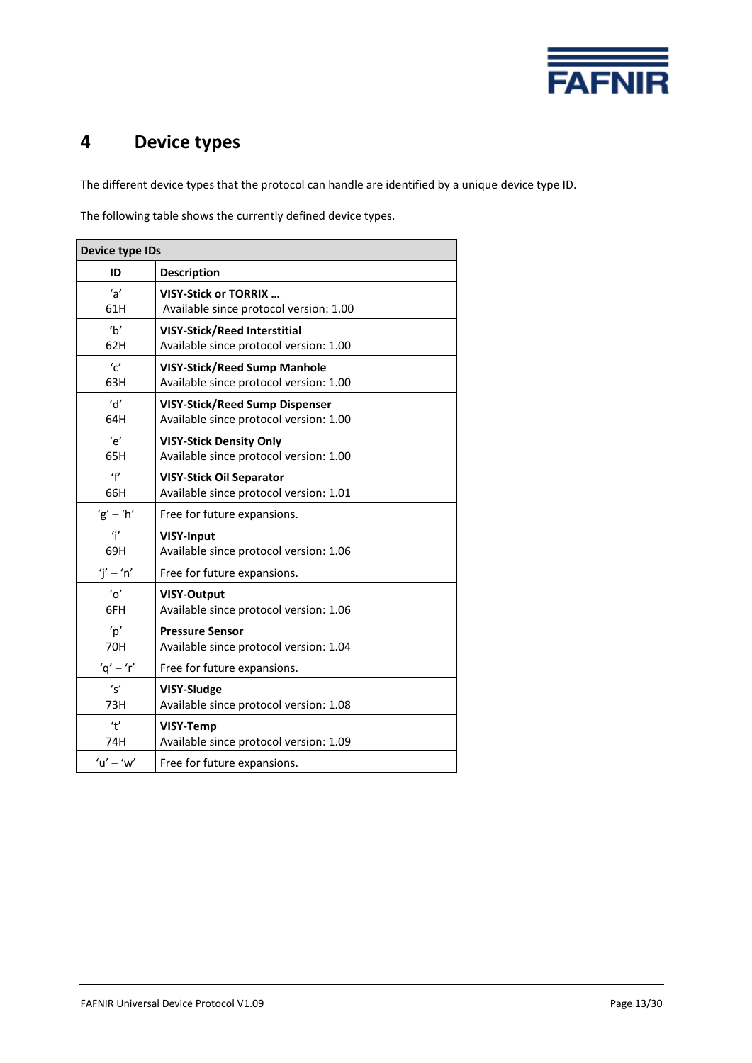

# <span id="page-12-0"></span>**4 Device types**

The different device types that the protocol can handle are identified by a unique device type ID.

The following table shows the currently defined device types.

| <b>Device type IDs</b>    |                                        |  |
|---------------------------|----------------------------------------|--|
| ID                        | <b>Description</b>                     |  |
| a'                        | <b>VISY-Stick or TORRIX </b>           |  |
| 61H                       | Available since protocol version: 1.00 |  |
| $^{\prime}$               | <b>VISY-Stick/Reed Interstitial</b>    |  |
| 62H                       | Available since protocol version: 1.00 |  |
| $^{\prime}$ c $^{\prime}$ | <b>VISY-Stick/Reed Sump Manhole</b>    |  |
| 63H                       | Available since protocol version: 1.00 |  |
| 'd'                       | <b>VISY-Stick/Reed Sump Dispenser</b>  |  |
| 64H                       | Available since protocol version: 1.00 |  |
| 'e'                       | <b>VISY-Stick Density Only</b>         |  |
| 65H                       | Available since protocol version: 1.00 |  |
| $\mathbf{f}'$             | <b>VISY-Stick Oil Separator</b>        |  |
| 66H                       | Available since protocol version: 1.01 |  |
| $g' - h'$                 | Free for future expansions.            |  |
| ʻi'                       | <b>VISY-Input</b>                      |  |
| 69H                       | Available since protocol version: 1.06 |  |
| $'j' - 'n'$               | Free for future expansions.            |  |
| 'o'                       | <b>VISY-Output</b>                     |  |
| 6FH                       | Available since protocol version: 1.06 |  |
| p'                        | <b>Pressure Sensor</b>                 |  |
| 70H                       | Available since protocol version: 1.04 |  |
| $'q' - 'r'$               | Free for future expansions.            |  |
| 's'                       | VISY-Sludge                            |  |
| 73H                       | Available since protocol version: 1.08 |  |
| $^{\prime}$ t'            | VISY-Temp                              |  |
| 74H                       | Available since protocol version: 1.09 |  |
| $'u' - 'w'$               | Free for future expansions.            |  |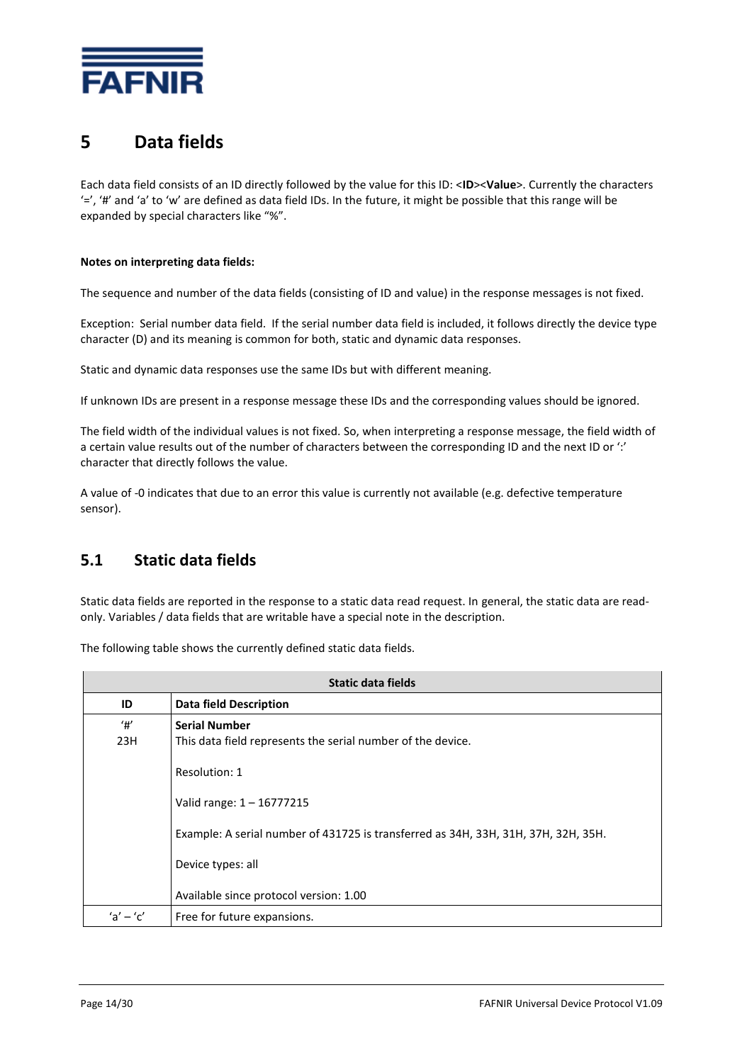

# <span id="page-13-0"></span>**5 Data fields**

Each data field consists of an ID directly followed by the value for this ID: <**ID**><**Value**>. Currently the characters '=', '#' and 'a' to 'w' are defined as data field IDs. In the future, it might be possible that this range will be expanded by special characters like "%".

## **Notes on interpreting data fields:**

The sequence and number of the data fields (consisting of ID and value) in the response messages is not fixed.

Exception: Serial number data field. If the serial number data field is included, it follows directly the device type character (D) and its meaning is common for both, static and dynamic data responses.

Static and dynamic data responses use the same IDs but with different meaning.

If unknown IDs are present in a response message these IDs and the corresponding values should be ignored.

The field width of the individual values is not fixed. So, when interpreting a response message, the field width of a certain value results out of the number of characters between the corresponding ID and the next ID or ':' character that directly follows the value.

A value of -0 indicates that due to an error this value is currently not available (e.g. defective temperature sensor).

# <span id="page-13-1"></span>**5.1 Static data fields**

Static data fields are reported in the response to a static data read request. In general, the static data are readonly. Variables / data fields that are writable have a special note in the description.

| Static data fields |                                                                                                         |
|--------------------|---------------------------------------------------------------------------------------------------------|
| ID                 | <b>Data field Description</b>                                                                           |
| $'$ # $'$<br>23H   | <b>Serial Number</b><br>This data field represents the serial number of the device.<br>Resolution: 1    |
|                    | Valid range: 1 - 16777215                                                                               |
|                    | Example: A serial number of 431725 is transferred as 34H, 33H, 31H, 37H, 32H, 35H.<br>Device types: all |
|                    | Available since protocol version: 1.00                                                                  |
| $a' - c'$          | Free for future expansions.                                                                             |

The following table shows the currently defined static data fields.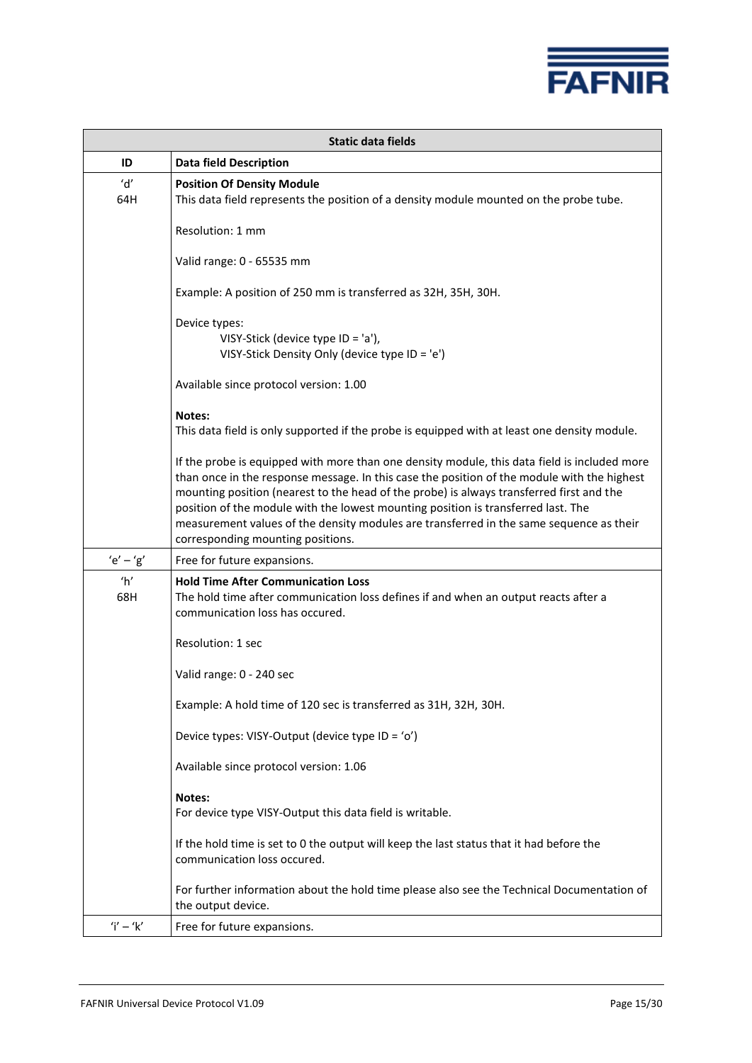

|             | <b>Static data fields</b>                                                                                                                                                                                                                                                                                                                                                                                                                                                                                    |
|-------------|--------------------------------------------------------------------------------------------------------------------------------------------------------------------------------------------------------------------------------------------------------------------------------------------------------------------------------------------------------------------------------------------------------------------------------------------------------------------------------------------------------------|
| ID          | <b>Data field Description</b>                                                                                                                                                                                                                                                                                                                                                                                                                                                                                |
| 'd'<br>64H  | <b>Position Of Density Module</b><br>This data field represents the position of a density module mounted on the probe tube.                                                                                                                                                                                                                                                                                                                                                                                  |
|             | Resolution: 1 mm                                                                                                                                                                                                                                                                                                                                                                                                                                                                                             |
|             | Valid range: 0 - 65535 mm                                                                                                                                                                                                                                                                                                                                                                                                                                                                                    |
|             | Example: A position of 250 mm is transferred as 32H, 35H, 30H.                                                                                                                                                                                                                                                                                                                                                                                                                                               |
|             | Device types:<br>VISY-Stick (device type $ID = 'a'$ ),<br>VISY-Stick Density Only (device type ID = 'e')                                                                                                                                                                                                                                                                                                                                                                                                     |
|             | Available since protocol version: 1.00                                                                                                                                                                                                                                                                                                                                                                                                                                                                       |
|             | <b>Notes:</b><br>This data field is only supported if the probe is equipped with at least one density module.                                                                                                                                                                                                                                                                                                                                                                                                |
|             | If the probe is equipped with more than one density module, this data field is included more<br>than once in the response message. In this case the position of the module with the highest<br>mounting position (nearest to the head of the probe) is always transferred first and the<br>position of the module with the lowest mounting position is transferred last. The<br>measurement values of the density modules are transferred in the same sequence as their<br>corresponding mounting positions. |
| $'e' - 'g'$ | Free for future expansions.                                                                                                                                                                                                                                                                                                                                                                                                                                                                                  |
| 'h'<br>68H  | <b>Hold Time After Communication Loss</b><br>The hold time after communication loss defines if and when an output reacts after a<br>communication loss has occured.                                                                                                                                                                                                                                                                                                                                          |
|             | Resolution: 1 sec                                                                                                                                                                                                                                                                                                                                                                                                                                                                                            |
|             | Valid range: 0 - 240 sec                                                                                                                                                                                                                                                                                                                                                                                                                                                                                     |
|             | Example: A hold time of 120 sec is transferred as 31H, 32H, 30H.                                                                                                                                                                                                                                                                                                                                                                                                                                             |
|             | Device types: VISY-Output (device type ID = 'o')                                                                                                                                                                                                                                                                                                                                                                                                                                                             |
|             | Available since protocol version: 1.06                                                                                                                                                                                                                                                                                                                                                                                                                                                                       |
|             | <b>Notes:</b><br>For device type VISY-Output this data field is writable.                                                                                                                                                                                                                                                                                                                                                                                                                                    |
|             | If the hold time is set to 0 the output will keep the last status that it had before the<br>communication loss occured.                                                                                                                                                                                                                                                                                                                                                                                      |
|             | For further information about the hold time please also see the Technical Documentation of<br>the output device.                                                                                                                                                                                                                                                                                                                                                                                             |
| $'i' - 'k'$ | Free for future expansions.                                                                                                                                                                                                                                                                                                                                                                                                                                                                                  |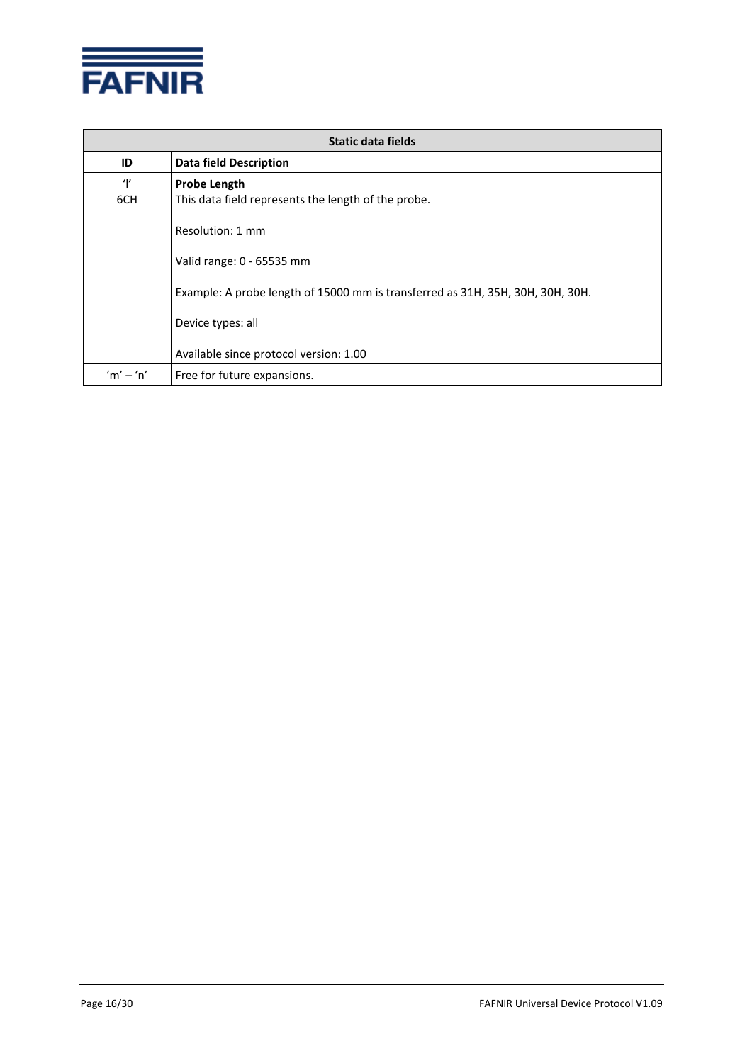

| Static data fields |                                                                                |
|--------------------|--------------------------------------------------------------------------------|
| ID                 | <b>Data field Description</b>                                                  |
| Ψ                  | <b>Probe Length</b>                                                            |
| 6CH                | This data field represents the length of the probe.                            |
|                    | Resolution: 1 mm                                                               |
|                    | Valid range: 0 - 65535 mm                                                      |
|                    | Example: A probe length of 15000 mm is transferred as 31H, 35H, 30H, 30H, 30H. |
|                    | Device types: all                                                              |
|                    | Available since protocol version: 1.00                                         |
| $'m' - 'n'$        | Free for future expansions.                                                    |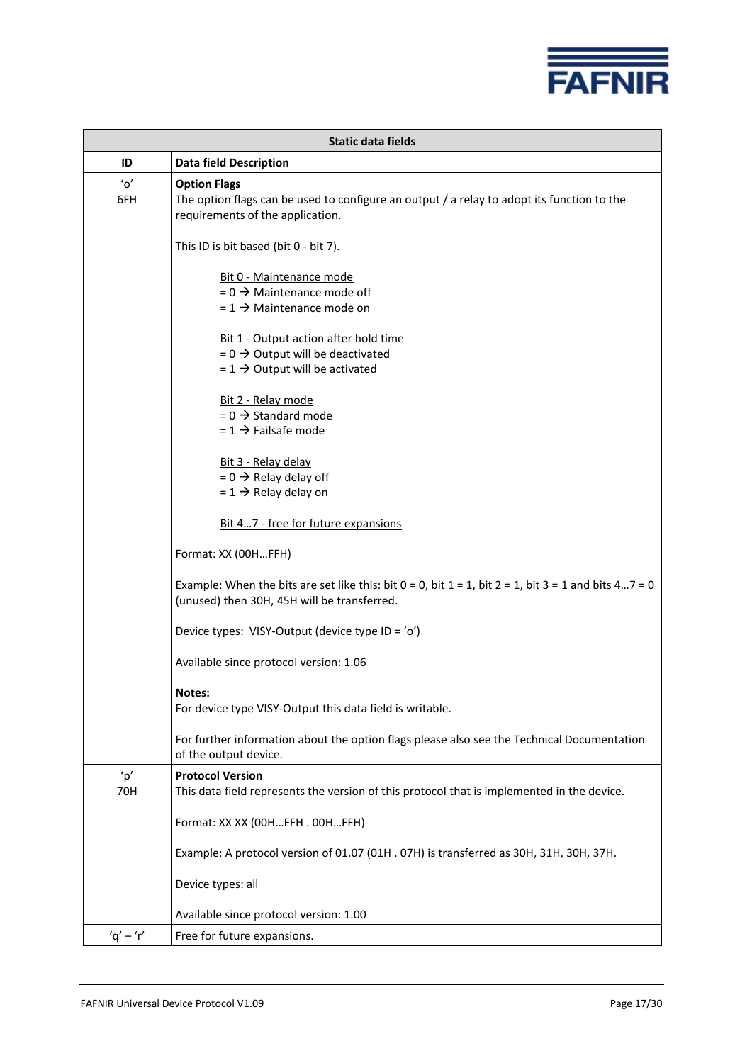

| <b>Static data fields</b> |                                                                                                                                                                  |
|---------------------------|------------------------------------------------------------------------------------------------------------------------------------------------------------------|
| ID                        | <b>Data field Description</b>                                                                                                                                    |
| 'o'<br>6FH                | <b>Option Flags</b><br>The option flags can be used to configure an output $/$ a relay to adopt its function to the<br>requirements of the application.          |
|                           | This ID is bit based (bit 0 - bit 7).                                                                                                                            |
|                           | Bit 0 - Maintenance mode<br>$= 0 \rightarrow$ Maintenance mode off<br>$= 1 \rightarrow$ Maintenance mode on                                                      |
|                           | Bit 1 - Output action after hold time<br>$= 0 \rightarrow$ Output will be deactivated<br>$= 1 \rightarrow$ Output will be activated                              |
|                           | Bit 2 - Relay mode<br>$= 0 \rightarrow$ Standard mode<br>$= 1 \rightarrow$ Failsafe mode                                                                         |
|                           | Bit 3 - Relay delay<br>$= 0 \rightarrow$ Relay delay off<br>$= 1 \rightarrow$ Relay delay on                                                                     |
|                           | Bit 47 - free for future expansions                                                                                                                              |
|                           | Format: XX (00HFFH)                                                                                                                                              |
|                           | Example: When the bits are set like this: bit $0 = 0$ , bit $1 = 1$ , bit $2 = 1$ , bit $3 = 1$ and bits $47 = 0$<br>(unused) then 30H, 45H will be transferred. |
|                           | Device types: VISY-Output (device type ID = 'o')                                                                                                                 |
|                           | Available since protocol version: 1.06                                                                                                                           |
|                           | Notes:<br>For device type VISY-Output this data field is writable.                                                                                               |
|                           | For further information about the option flags please also see the Technical Documentation<br>of the output device.                                              |
| p'<br>70H                 | <b>Protocol Version</b><br>This data field represents the version of this protocol that is implemented in the device.                                            |
|                           | Format: XX XX (00HFFH . 00HFFH)                                                                                                                                  |
|                           | Example: A protocol version of 01.07 (01H . 07H) is transferred as 30H, 31H, 30H, 37H.                                                                           |
|                           | Device types: all                                                                                                                                                |
|                           | Available since protocol version: 1.00                                                                                                                           |
| $'r' - r'$                | Free for future expansions.                                                                                                                                      |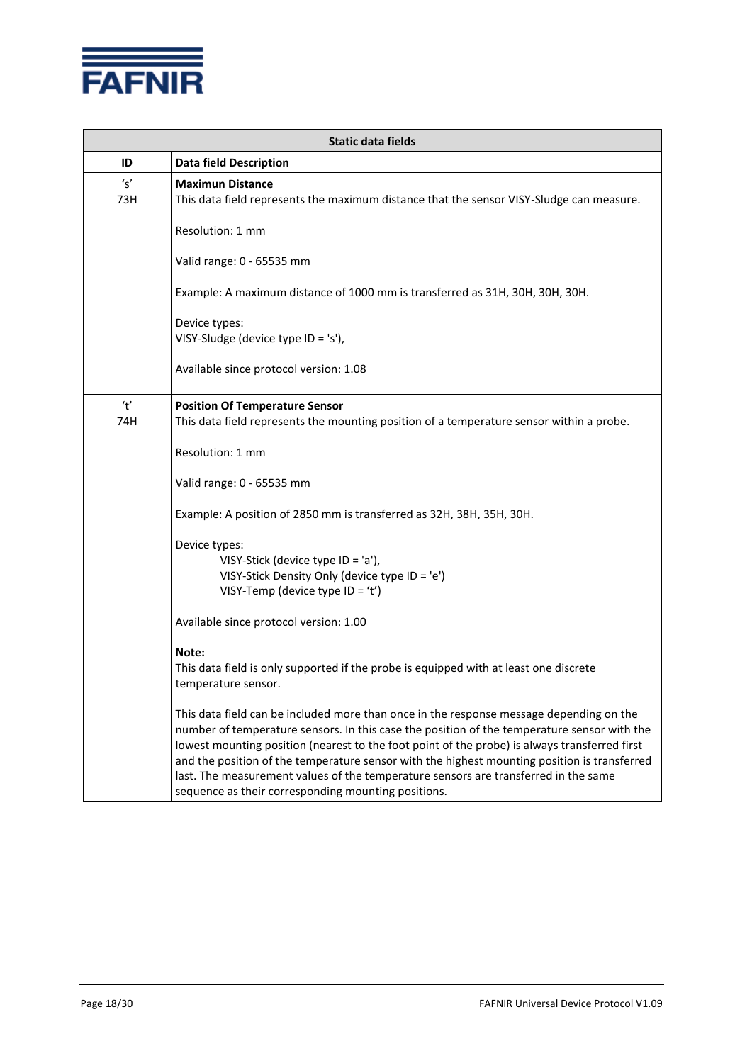

| <b>Static data fields</b> |                                                                                                                                                                                                                                                                                                                                                                                                                                                                                                                                       |  |
|---------------------------|---------------------------------------------------------------------------------------------------------------------------------------------------------------------------------------------------------------------------------------------------------------------------------------------------------------------------------------------------------------------------------------------------------------------------------------------------------------------------------------------------------------------------------------|--|
| ID                        | <b>Data field Description</b>                                                                                                                                                                                                                                                                                                                                                                                                                                                                                                         |  |
| 's'<br>73H                | <b>Maximun Distance</b><br>This data field represents the maximum distance that the sensor VISY-Sludge can measure.                                                                                                                                                                                                                                                                                                                                                                                                                   |  |
|                           | Resolution: 1 mm                                                                                                                                                                                                                                                                                                                                                                                                                                                                                                                      |  |
|                           | Valid range: 0 - 65535 mm                                                                                                                                                                                                                                                                                                                                                                                                                                                                                                             |  |
|                           | Example: A maximum distance of 1000 mm is transferred as 31H, 30H, 30H, 30H.                                                                                                                                                                                                                                                                                                                                                                                                                                                          |  |
|                           | Device types:<br>VISY-Sludge (device type ID = 's'),                                                                                                                                                                                                                                                                                                                                                                                                                                                                                  |  |
|                           | Available since protocol version: 1.08                                                                                                                                                                                                                                                                                                                                                                                                                                                                                                |  |
| 't'<br>74H                | <b>Position Of Temperature Sensor</b><br>This data field represents the mounting position of a temperature sensor within a probe.                                                                                                                                                                                                                                                                                                                                                                                                     |  |
|                           | Resolution: 1 mm                                                                                                                                                                                                                                                                                                                                                                                                                                                                                                                      |  |
|                           | Valid range: 0 - 65535 mm                                                                                                                                                                                                                                                                                                                                                                                                                                                                                                             |  |
|                           | Example: A position of 2850 mm is transferred as 32H, 38H, 35H, 30H.                                                                                                                                                                                                                                                                                                                                                                                                                                                                  |  |
|                           | Device types:                                                                                                                                                                                                                                                                                                                                                                                                                                                                                                                         |  |
|                           | VISY-Stick (device type $ID = 'a'$ ),<br>VISY-Stick Density Only (device type ID = 'e')                                                                                                                                                                                                                                                                                                                                                                                                                                               |  |
|                           | VISY-Temp (device type ID = 't')                                                                                                                                                                                                                                                                                                                                                                                                                                                                                                      |  |
|                           | Available since protocol version: 1.00                                                                                                                                                                                                                                                                                                                                                                                                                                                                                                |  |
|                           | Note:<br>This data field is only supported if the probe is equipped with at least one discrete<br>temperature sensor.                                                                                                                                                                                                                                                                                                                                                                                                                 |  |
|                           | This data field can be included more than once in the response message depending on the<br>number of temperature sensors. In this case the position of the temperature sensor with the<br>lowest mounting position (nearest to the foot point of the probe) is always transferred first<br>and the position of the temperature sensor with the highest mounting position is transferred<br>last. The measurement values of the temperature sensors are transferred in the same<br>sequence as their corresponding mounting positions. |  |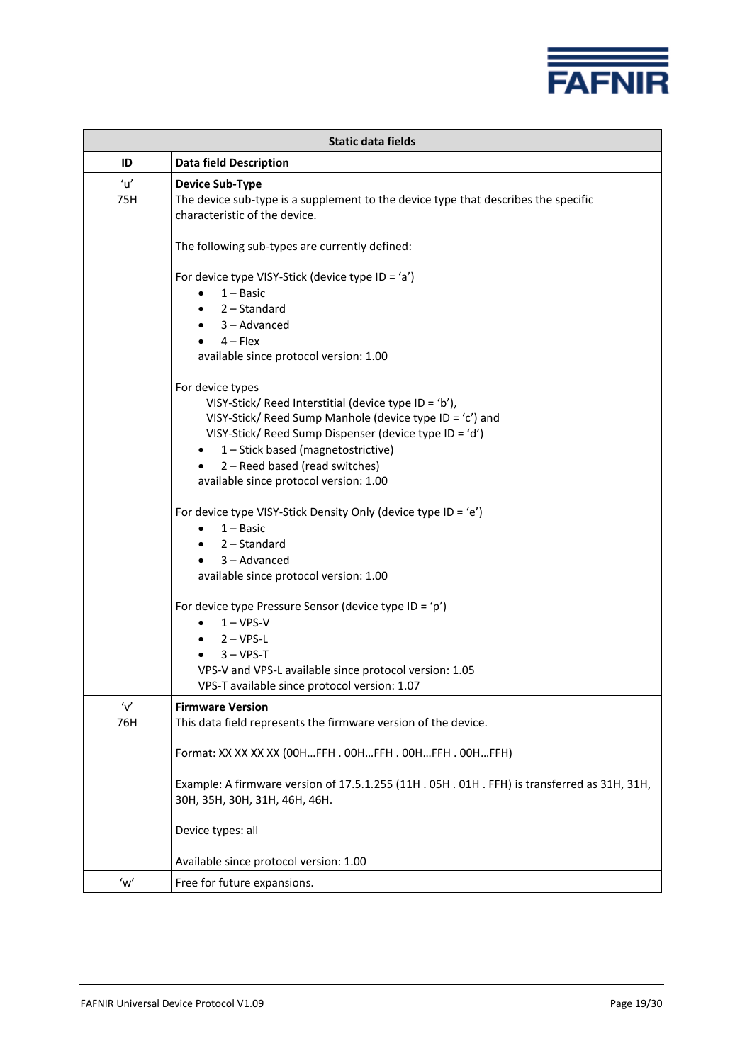

|            | <b>Static data fields</b>                                                                                                                                                                                                                                                                                       |
|------------|-----------------------------------------------------------------------------------------------------------------------------------------------------------------------------------------------------------------------------------------------------------------------------------------------------------------|
| ID         | <b>Data field Description</b>                                                                                                                                                                                                                                                                                   |
| u'<br>75H  | <b>Device Sub-Type</b><br>The device sub-type is a supplement to the device type that describes the specific<br>characteristic of the device.                                                                                                                                                                   |
|            | The following sub-types are currently defined:                                                                                                                                                                                                                                                                  |
|            | For device type VISY-Stick (device type ID = 'a')<br>$1 -$ Basic<br>2 - Standard<br>3-Advanced<br>$4$ – Flex<br>$\bullet$<br>available since protocol version: 1.00                                                                                                                                             |
|            | For device types<br>VISY-Stick/ Reed Interstitial (device type ID = 'b'),<br>VISY-Stick/ Reed Sump Manhole (device type ID = 'c') and<br>VISY-Stick/ Reed Sump Dispenser (device type ID = 'd')<br>1-Stick based (magnetostrictive)<br>2 - Reed based (read switches)<br>available since protocol version: 1.00 |
|            | For device type VISY-Stick Density Only (device type ID = 'e')<br>$1 - Basic$<br>٠<br>2 - Standard<br>3 - Advanced<br>$\bullet$<br>available since protocol version: 1.00                                                                                                                                       |
|            | For device type Pressure Sensor (device type ID = 'p')<br>$1 - VPS-V$<br>$\bullet$<br>$2 - VPS-L$<br>$\bullet$<br>$3 - VPS-T$<br>$\bullet$<br>VPS-V and VPS-L available since protocol version: 1.05<br>VPS-T available since protocol version: 1.07                                                            |
| 'v'<br>76H | <b>Firmware Version</b><br>This data field represents the firmware version of the device.                                                                                                                                                                                                                       |
|            | Format: XX XX XX XX (00HFFH . 00HFFH . 00HFFH . 00HFFH)                                                                                                                                                                                                                                                         |
|            | Example: A firmware version of 17.5.1.255 (11H . 05H . 01H . FFH) is transferred as 31H, 31H,<br>ЗОН, 35Н, 30Н, 31Н, 46Н, 46Н.                                                                                                                                                                                  |
|            | Device types: all                                                                                                                                                                                                                                                                                               |
|            | Available since protocol version: 1.00                                                                                                                                                                                                                                                                          |
| 'w'        | Free for future expansions.                                                                                                                                                                                                                                                                                     |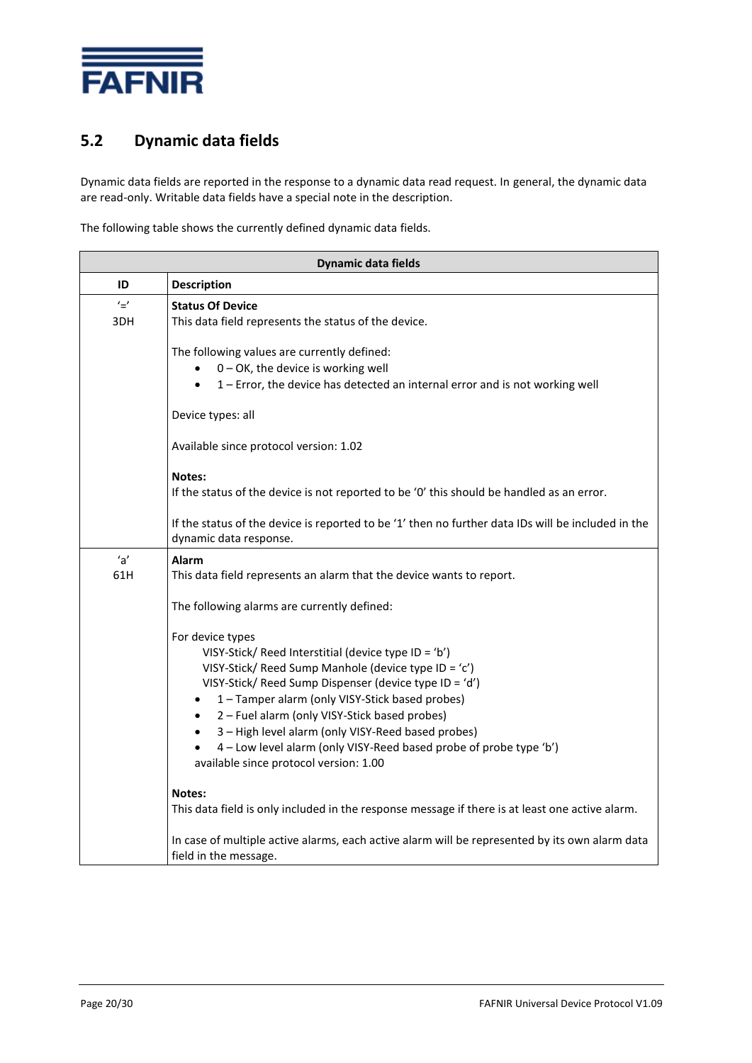

# <span id="page-19-0"></span>**5.2 Dynamic data fields**

Dynamic data fields are reported in the response to a dynamic data read request. In general, the dynamic data are read-only. Writable data fields have a special note in the description.

The following table shows the currently defined dynamic data fields.

| <b>Dynamic data fields</b> |                                                                                                                                                                                                                                                                                                                                                                                                                                                                                              |
|----------------------------|----------------------------------------------------------------------------------------------------------------------------------------------------------------------------------------------------------------------------------------------------------------------------------------------------------------------------------------------------------------------------------------------------------------------------------------------------------------------------------------------|
| ID                         | <b>Description</b>                                                                                                                                                                                                                                                                                                                                                                                                                                                                           |
| $' ='$<br>3DH              | <b>Status Of Device</b><br>This data field represents the status of the device.                                                                                                                                                                                                                                                                                                                                                                                                              |
|                            | The following values are currently defined:<br>$0 - OK$ , the device is working well<br>1 - Error, the device has detected an internal error and is not working well                                                                                                                                                                                                                                                                                                                         |
|                            | Device types: all                                                                                                                                                                                                                                                                                                                                                                                                                                                                            |
|                            | Available since protocol version: 1.02                                                                                                                                                                                                                                                                                                                                                                                                                                                       |
|                            | Notes:<br>If the status of the device is not reported to be '0' this should be handled as an error.                                                                                                                                                                                                                                                                                                                                                                                          |
|                            | If the status of the device is reported to be '1' then no further data IDs will be included in the<br>dynamic data response.                                                                                                                                                                                                                                                                                                                                                                 |
| a'<br>61H                  | <b>Alarm</b><br>This data field represents an alarm that the device wants to report.                                                                                                                                                                                                                                                                                                                                                                                                         |
|                            | The following alarms are currently defined:                                                                                                                                                                                                                                                                                                                                                                                                                                                  |
|                            | For device types<br>VISY-Stick/ Reed Interstitial (device type ID = 'b')<br>VISY-Stick/ Reed Sump Manhole (device type ID = 'c')<br>VISY-Stick/ Reed Sump Dispenser (device type ID = 'd')<br>1-Tamper alarm (only VISY-Stick based probes)<br>2 - Fuel alarm (only VISY-Stick based probes)<br>$\bullet$<br>3 - High level alarm (only VISY-Reed based probes)<br>$\bullet$<br>4 - Low level alarm (only VISY-Reed based probe of probe type 'b')<br>available since protocol version: 1.00 |
|                            | Notes:<br>This data field is only included in the response message if there is at least one active alarm.                                                                                                                                                                                                                                                                                                                                                                                    |
|                            | In case of multiple active alarms, each active alarm will be represented by its own alarm data<br>field in the message.                                                                                                                                                                                                                                                                                                                                                                      |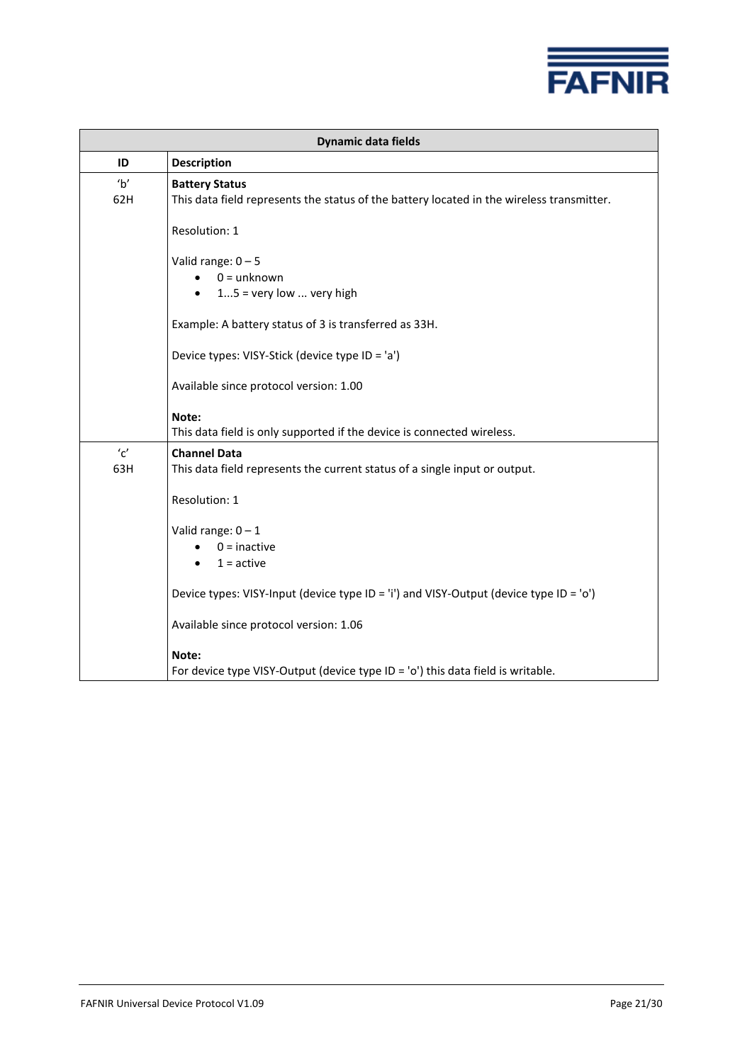

| <b>Dynamic data fields</b>       |                                                                                                                                                                                                                                                                        |
|----------------------------------|------------------------------------------------------------------------------------------------------------------------------------------------------------------------------------------------------------------------------------------------------------------------|
| ID                               | <b>Description</b>                                                                                                                                                                                                                                                     |
| 'b'<br>62H                       | <b>Battery Status</b><br>This data field represents the status of the battery located in the wireless transmitter.<br>Resolution: 1                                                                                                                                    |
|                                  | Valid range: $0 - 5$<br>$0 =$ unknown<br>$15$ = very low  very high<br>$\bullet$<br>Example: A battery status of 3 is transferred as 33H.<br>Device types: VISY-Stick (device type ID = 'a')<br>Available since protocol version: 1.00                                 |
|                                  | Note:<br>This data field is only supported if the device is connected wireless.                                                                                                                                                                                        |
| $^{\prime}$ c $^{\prime}$<br>63H | <b>Channel Data</b><br>This data field represents the current status of a single input or output.<br>Resolution: 1<br>Valid range: $0 - 1$<br>$0 =$ inactive<br>$1 = active$<br>Device types: VISY-Input (device type ID = 'i') and VISY-Output (device type ID = 'o') |
|                                  | Available since protocol version: 1.06<br>Note:<br>For device type VISY-Output (device type ID = $'$ o') this data field is writable.                                                                                                                                  |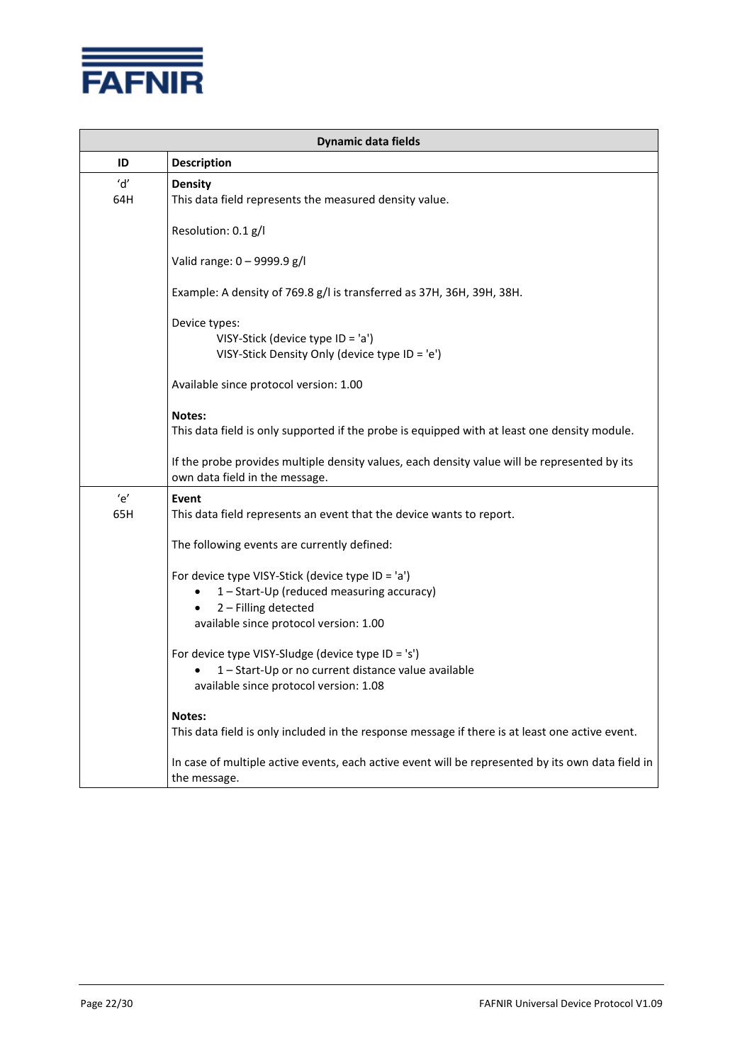

| <b>Dynamic data fields</b> |                                                                                                                                                   |  |  |  |  |  |  |  |  |
|----------------------------|---------------------------------------------------------------------------------------------------------------------------------------------------|--|--|--|--|--|--|--|--|
| ID                         | <b>Description</b>                                                                                                                                |  |  |  |  |  |  |  |  |
| ʻď<br>64H                  | <b>Density</b><br>This data field represents the measured density value.                                                                          |  |  |  |  |  |  |  |  |
|                            | Resolution: 0.1 g/l                                                                                                                               |  |  |  |  |  |  |  |  |
|                            | Valid range: 0 - 9999.9 g/l                                                                                                                       |  |  |  |  |  |  |  |  |
|                            | Example: A density of 769.8 g/l is transferred as 37H, 36H, 39H, 38H.                                                                             |  |  |  |  |  |  |  |  |
|                            | Device types:<br>VISY-Stick (device type ID = 'a')<br>VISY-Stick Density Only (device type ID = 'e')                                              |  |  |  |  |  |  |  |  |
|                            | Available since protocol version: 1.00                                                                                                            |  |  |  |  |  |  |  |  |
|                            | Notes:<br>This data field is only supported if the probe is equipped with at least one density module.                                            |  |  |  |  |  |  |  |  |
|                            | If the probe provides multiple density values, each density value will be represented by its<br>own data field in the message.                    |  |  |  |  |  |  |  |  |
| 'e'<br>65H                 | Event<br>This data field represents an event that the device wants to report.                                                                     |  |  |  |  |  |  |  |  |
|                            | The following events are currently defined:                                                                                                       |  |  |  |  |  |  |  |  |
|                            | For device type VISY-Stick (device type ID = 'a')<br>1-Start-Up (reduced measuring accuracy)<br>$\bullet$                                         |  |  |  |  |  |  |  |  |
|                            | 2 - Filling detected<br>available since protocol version: 1.00                                                                                    |  |  |  |  |  |  |  |  |
|                            | For device type VISY-Sludge (device type ID = 's')<br>1-Start-Up or no current distance value available<br>available since protocol version: 1.08 |  |  |  |  |  |  |  |  |
|                            | Notes:<br>This data field is only included in the response message if there is at least one active event.                                         |  |  |  |  |  |  |  |  |
|                            | In case of multiple active events, each active event will be represented by its own data field in<br>the message.                                 |  |  |  |  |  |  |  |  |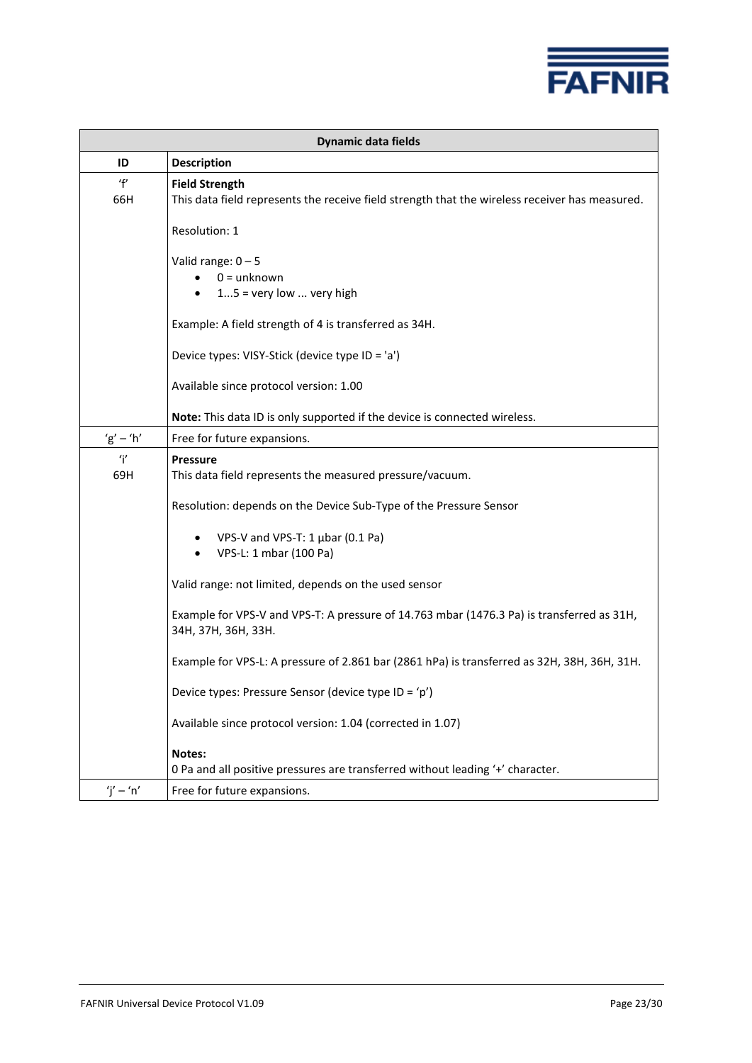

|                      | Dynamic data fields                                                                                                                                                    |
|----------------------|------------------------------------------------------------------------------------------------------------------------------------------------------------------------|
| ID                   | <b>Description</b>                                                                                                                                                     |
| $\mathsf{f}'$<br>66H | <b>Field Strength</b><br>This data field represents the receive field strength that the wireless receiver has measured.                                                |
|                      | Resolution: 1<br>Valid range: $0 - 5$<br>$0 =$ unknown<br>$15$ = very low  very high<br>Example: A field strength of 4 is transferred as 34H.                          |
|                      | Device types: VISY-Stick (device type ID = 'a')<br>Available since protocol version: 1.00<br>Note: This data ID is only supported if the device is connected wireless. |
| $'g' - 'h'$          | Free for future expansions.                                                                                                                                            |
| ʻi'<br>69H           | <b>Pressure</b><br>This data field represents the measured pressure/vacuum.                                                                                            |
|                      | Resolution: depends on the Device Sub-Type of the Pressure Sensor<br>VPS-V and VPS-T: $1 \mu bar$ (0.1 Pa)<br>VPS-L: 1 mbar (100 Pa)                                   |
|                      | Valid range: not limited, depends on the used sensor                                                                                                                   |
|                      | Example for VPS-V and VPS-T: A pressure of 14.763 mbar (1476.3 Pa) is transferred as 31H,<br>34H, 37H, 36H, 33H.                                                       |
|                      | Example for VPS-L: A pressure of 2.861 bar (2861 hPa) is transferred as 32H, 38H, 36H, 31H.                                                                            |
|                      | Device types: Pressure Sensor (device type ID = 'p')<br>Available since protocol version: 1.04 (corrected in 1.07)                                                     |
|                      | Notes:<br>0 Pa and all positive pressures are transferred without leading '+' character.                                                                               |
| $'j' - 'n'$          | Free for future expansions.                                                                                                                                            |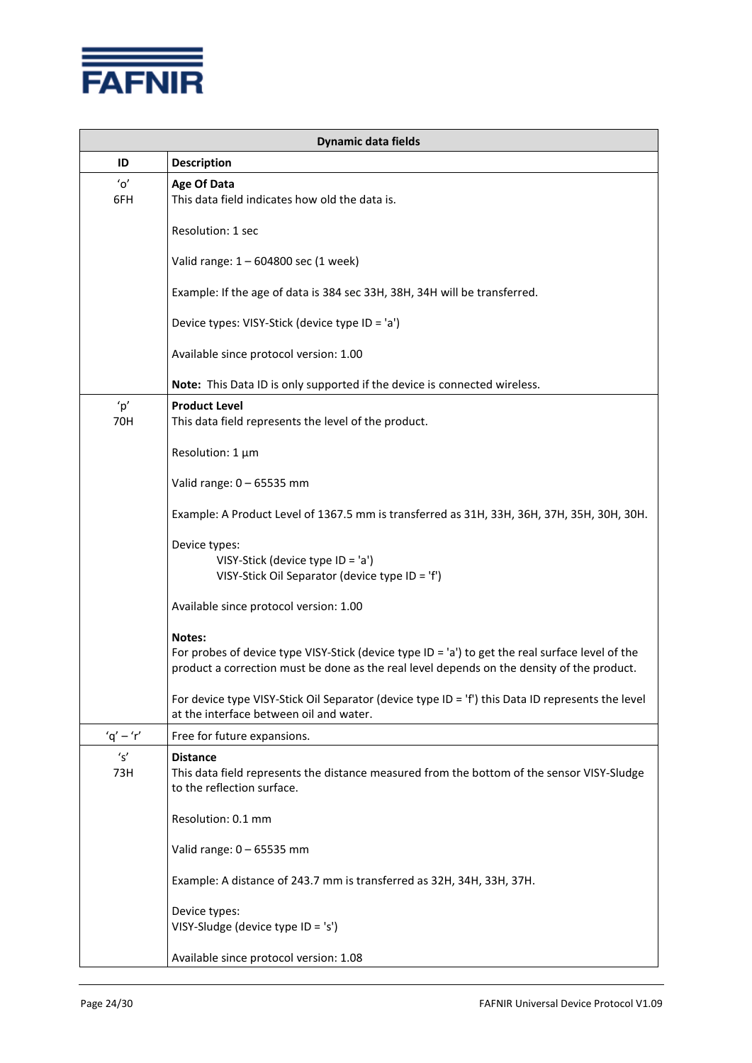

|            | Dynamic data fields                                                                                                                                                                                      |  |  |  |  |  |  |  |  |  |  |
|------------|----------------------------------------------------------------------------------------------------------------------------------------------------------------------------------------------------------|--|--|--|--|--|--|--|--|--|--|
| ID         | <b>Description</b>                                                                                                                                                                                       |  |  |  |  |  |  |  |  |  |  |
| 'o'<br>6FH | <b>Age Of Data</b><br>This data field indicates how old the data is.                                                                                                                                     |  |  |  |  |  |  |  |  |  |  |
|            | Resolution: 1 sec                                                                                                                                                                                        |  |  |  |  |  |  |  |  |  |  |
|            | Valid range: 1 - 604800 sec (1 week)                                                                                                                                                                     |  |  |  |  |  |  |  |  |  |  |
|            | Example: If the age of data is 384 sec 33H, 38H, 34H will be transferred.                                                                                                                                |  |  |  |  |  |  |  |  |  |  |
|            | Device types: VISY-Stick (device type ID = 'a')                                                                                                                                                          |  |  |  |  |  |  |  |  |  |  |
|            | Available since protocol version: 1.00                                                                                                                                                                   |  |  |  |  |  |  |  |  |  |  |
|            | Note: This Data ID is only supported if the device is connected wireless.                                                                                                                                |  |  |  |  |  |  |  |  |  |  |
| p'<br>70H  | <b>Product Level</b><br>This data field represents the level of the product.                                                                                                                             |  |  |  |  |  |  |  |  |  |  |
|            | Resolution: 1 µm                                                                                                                                                                                         |  |  |  |  |  |  |  |  |  |  |
|            | Valid range: 0 - 65535 mm                                                                                                                                                                                |  |  |  |  |  |  |  |  |  |  |
|            | Example: A Product Level of 1367.5 mm is transferred as 31H, 33H, 36H, 37H, 35H, 30H, 30H.                                                                                                               |  |  |  |  |  |  |  |  |  |  |
|            | Device types:<br>VISY-Stick (device type ID = 'a')<br>VISY-Stick Oil Separator (device type ID = 'f')                                                                                                    |  |  |  |  |  |  |  |  |  |  |
|            | Available since protocol version: 1.00                                                                                                                                                                   |  |  |  |  |  |  |  |  |  |  |
|            | Notes:<br>For probes of device type VISY-Stick (device type ID = 'a') to get the real surface level of the<br>product a correction must be done as the real level depends on the density of the product. |  |  |  |  |  |  |  |  |  |  |
|            | For device type VISY-Stick Oil Separator (device type ID = 'f') this Data ID represents the level<br>at the interface between oil and water.                                                             |  |  |  |  |  |  |  |  |  |  |
| $q' - r'$  | Free for future expansions.                                                                                                                                                                              |  |  |  |  |  |  |  |  |  |  |
| 's'<br>73H | <b>Distance</b><br>This data field represents the distance measured from the bottom of the sensor VISY-Sludge<br>to the reflection surface.                                                              |  |  |  |  |  |  |  |  |  |  |
|            | Resolution: 0.1 mm                                                                                                                                                                                       |  |  |  |  |  |  |  |  |  |  |
|            | Valid range: 0 - 65535 mm                                                                                                                                                                                |  |  |  |  |  |  |  |  |  |  |
|            | Example: A distance of 243.7 mm is transferred as 32H, 34H, 33H, 37H.                                                                                                                                    |  |  |  |  |  |  |  |  |  |  |
|            | Device types:<br>VISY-Sludge (device type ID = 's')                                                                                                                                                      |  |  |  |  |  |  |  |  |  |  |
|            | Available since protocol version: 1.08                                                                                                                                                                   |  |  |  |  |  |  |  |  |  |  |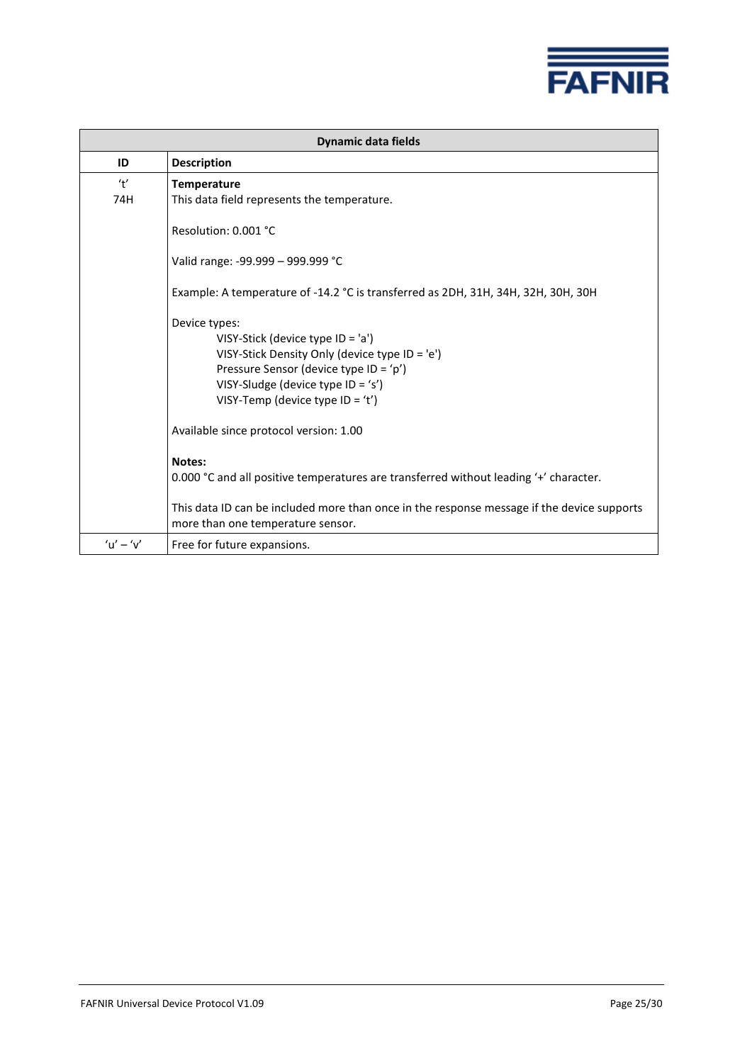

| <b>Dynamic data fields</b> |                                                                                                                                                                                                                               |  |  |  |  |  |  |  |
|----------------------------|-------------------------------------------------------------------------------------------------------------------------------------------------------------------------------------------------------------------------------|--|--|--|--|--|--|--|
| ID                         | <b>Description</b>                                                                                                                                                                                                            |  |  |  |  |  |  |  |
| $^{\prime}$<br>74H         | <b>Temperature</b><br>This data field represents the temperature.                                                                                                                                                             |  |  |  |  |  |  |  |
|                            | Resolution: 0.001 °C                                                                                                                                                                                                          |  |  |  |  |  |  |  |
|                            | Valid range: -99.999 - 999.999 °C                                                                                                                                                                                             |  |  |  |  |  |  |  |
|                            | Example: A temperature of -14.2 °C is transferred as 2DH, 31H, 34H, 32H, 30H, 30H                                                                                                                                             |  |  |  |  |  |  |  |
|                            | Device types:<br>VISY-Stick (device type $ID = 'a'$ )<br>VISY-Stick Density Only (device type ID = 'e')<br>Pressure Sensor (device type ID = 'p')<br>VISY-Sludge (device type $ID = 's')$<br>VISY-Temp (device type ID = 't') |  |  |  |  |  |  |  |
|                            | Available since protocol version: 1.00                                                                                                                                                                                        |  |  |  |  |  |  |  |
|                            | Notes:<br>0.000 °C and all positive temperatures are transferred without leading '+' character.                                                                                                                               |  |  |  |  |  |  |  |
|                            | This data ID can be included more than once in the response message if the device supports<br>more than one temperature sensor.                                                                                               |  |  |  |  |  |  |  |
| $1' - 1'$                  | Free for future expansions.                                                                                                                                                                                                   |  |  |  |  |  |  |  |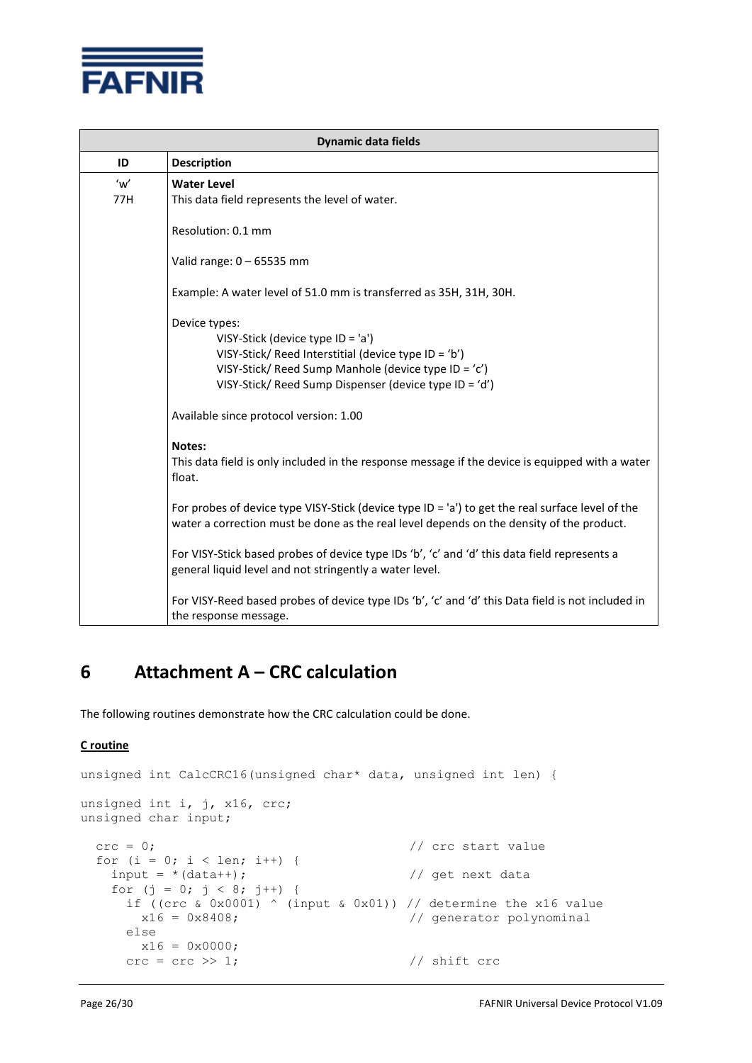

| <b>Dynamic data fields</b> |                                                                                                                                                                                              |  |  |  |  |  |  |  |  |
|----------------------------|----------------------------------------------------------------------------------------------------------------------------------------------------------------------------------------------|--|--|--|--|--|--|--|--|
| ID                         | <b>Description</b>                                                                                                                                                                           |  |  |  |  |  |  |  |  |
| 'w'                        | <b>Water Level</b>                                                                                                                                                                           |  |  |  |  |  |  |  |  |
| 77H                        | This data field represents the level of water.                                                                                                                                               |  |  |  |  |  |  |  |  |
|                            | Resolution: 0.1 mm                                                                                                                                                                           |  |  |  |  |  |  |  |  |
|                            | Valid range: $0 - 65535$ mm                                                                                                                                                                  |  |  |  |  |  |  |  |  |
|                            | Example: A water level of 51.0 mm is transferred as 35H, 31H, 30H.                                                                                                                           |  |  |  |  |  |  |  |  |
|                            | Device types:                                                                                                                                                                                |  |  |  |  |  |  |  |  |
|                            | VISY-Stick (device type $ID = 'a'$ )                                                                                                                                                         |  |  |  |  |  |  |  |  |
|                            | VISY-Stick/ Reed Interstitial (device type ID = 'b')                                                                                                                                         |  |  |  |  |  |  |  |  |
|                            | VISY-Stick/ Reed Sump Manhole (device type ID = 'c')                                                                                                                                         |  |  |  |  |  |  |  |  |
|                            | VISY-Stick/ Reed Sump Dispenser (device type ID = 'd')                                                                                                                                       |  |  |  |  |  |  |  |  |
|                            | Available since protocol version: 1.00                                                                                                                                                       |  |  |  |  |  |  |  |  |
|                            | Notes:                                                                                                                                                                                       |  |  |  |  |  |  |  |  |
|                            | This data field is only included in the response message if the device is equipped with a water<br>float.                                                                                    |  |  |  |  |  |  |  |  |
|                            | For probes of device type VISY-Stick (device type ID = 'a') to get the real surface level of the<br>water a correction must be done as the real level depends on the density of the product. |  |  |  |  |  |  |  |  |
|                            | For VISY-Stick based probes of device type IDs 'b', 'c' and 'd' this data field represents a<br>general liquid level and not stringently a water level.                                      |  |  |  |  |  |  |  |  |
|                            | For VISY-Reed based probes of device type IDs 'b', 'c' and 'd' this Data field is not included in                                                                                            |  |  |  |  |  |  |  |  |
|                            | the response message.                                                                                                                                                                        |  |  |  |  |  |  |  |  |

# <span id="page-25-0"></span>**6 Attachment A – CRC calculation**

The following routines demonstrate how the CRC calculation could be done.

# **C routine**

```
unsigned int CalcCRC16(unsigned char* data, unsigned int len) {
unsigned int i, j, x16, crc;
unsigned char input;
 crc = 0; \frac{1}{2} // crc start value
 for (i = 0; i < len; i++) {
   input = *(data++); // get next datafor (j = 0; j < 8; j++) {
     if ((crc \& 0x0001) \wedge (input \& 0x01)) // determine the x16 value
       x16 = 0x8408; // generator polynominal
      else
      x16 = 0x0000;\text{circ} = \text{circ} \gg 1; // shift \text{circ}
```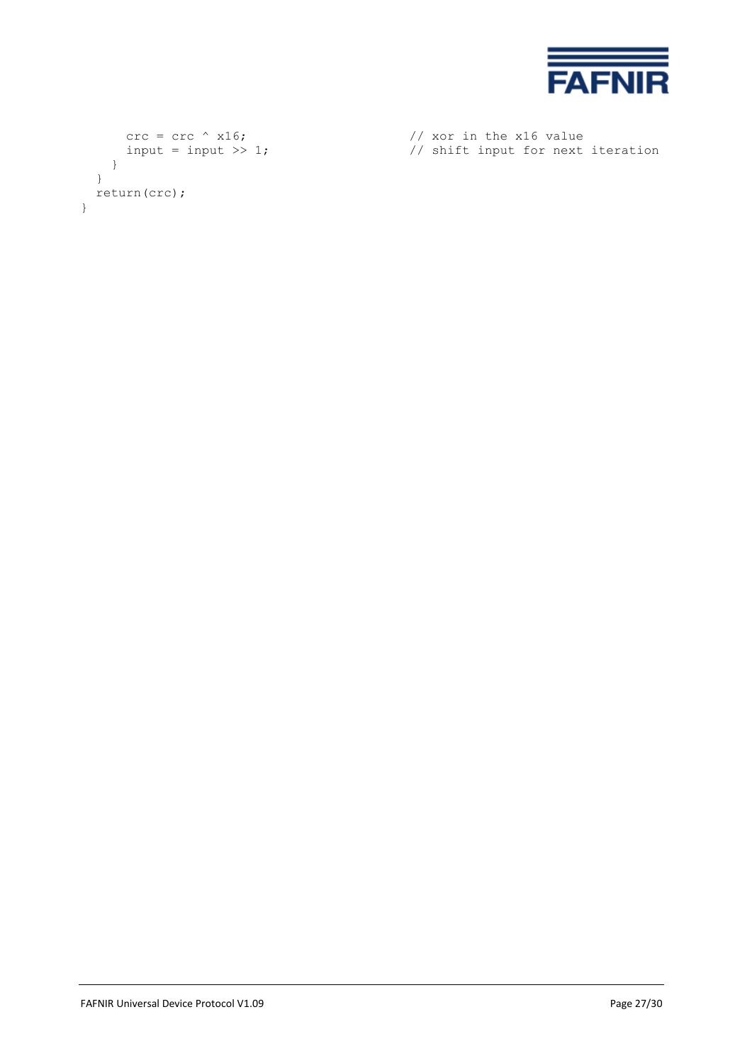

// shift input for next iteration

```
\text{circ} = \text{circ} \land \text{x16}; // xor in the x16 value<br>
input = input >> 1; // shift input for next
     }
   }
   return(crc);
}
```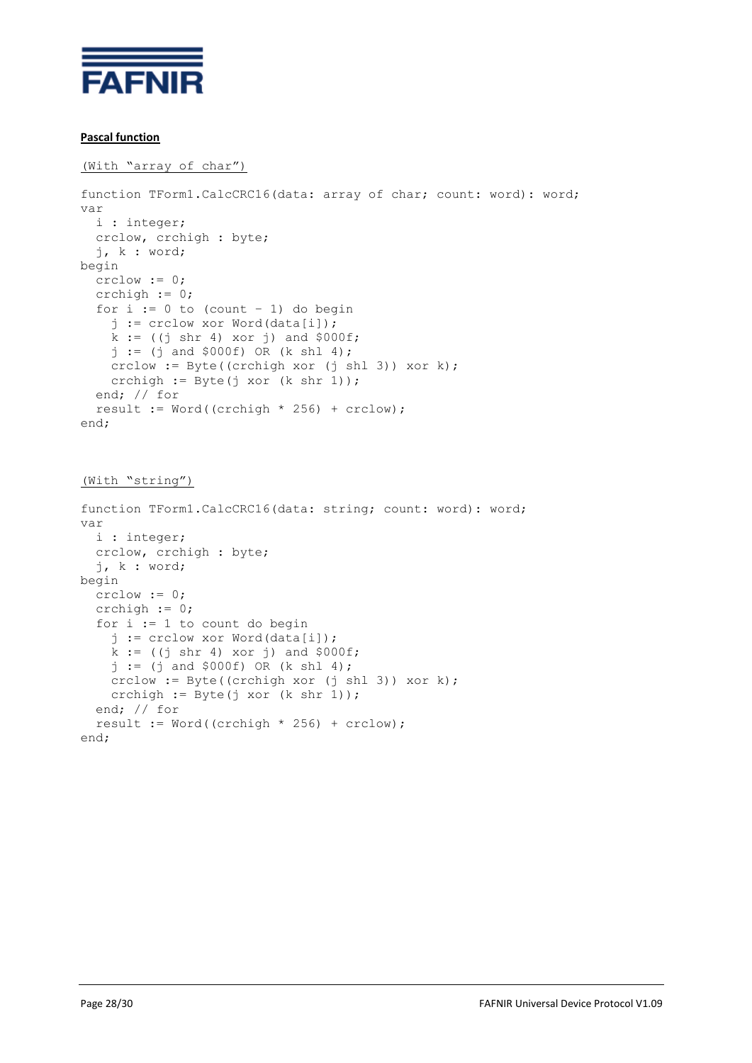

## **Pascal function**

```
(With "array of char")
```

```
function TForm1.CalcCRC16(data: array of char; count: word): word;
var
   i : integer;
   crclow, crchigh : byte;
   j, k : word;
begin
  crclow := 0; crchigh := 0;
  for i := 0 to (count - 1) do begin
    j := crclow xor Word(data[i]);
    k := ((j \text{ shr } 4) \text{ xor } j) and $000f; j := (j and $000f) OR (k shl 4);
     crclow := Byte((crchigh xor (j shl 3)) xor k);
    crchigh := Byte(j xor (k shr 1));
   end; // for
  result := Word((crchigh * 256) + crclow);
end;
```
(With "string")

```
function TForm1.CalcCRC16(data: string; count: word): word;
var
   i : integer;
   crclow, crchigh : byte;
   j, k : word;
begin
  crclow := 0; crchigh := 0;
   for i := 1 to count do begin
     j := crclow xor Word(data[i]);
    k := ((j \text{shr } 4) \text{ xor } j) and $000f; j := (j and $000f) OR (k shl 4);
     crclow := Byte((crchigh xor (j shl 3)) xor k);
     crchigh := Byte(j xor (k shr 1));
   end; // for
  result := Word((crchingh * 256) + crclow);end;
```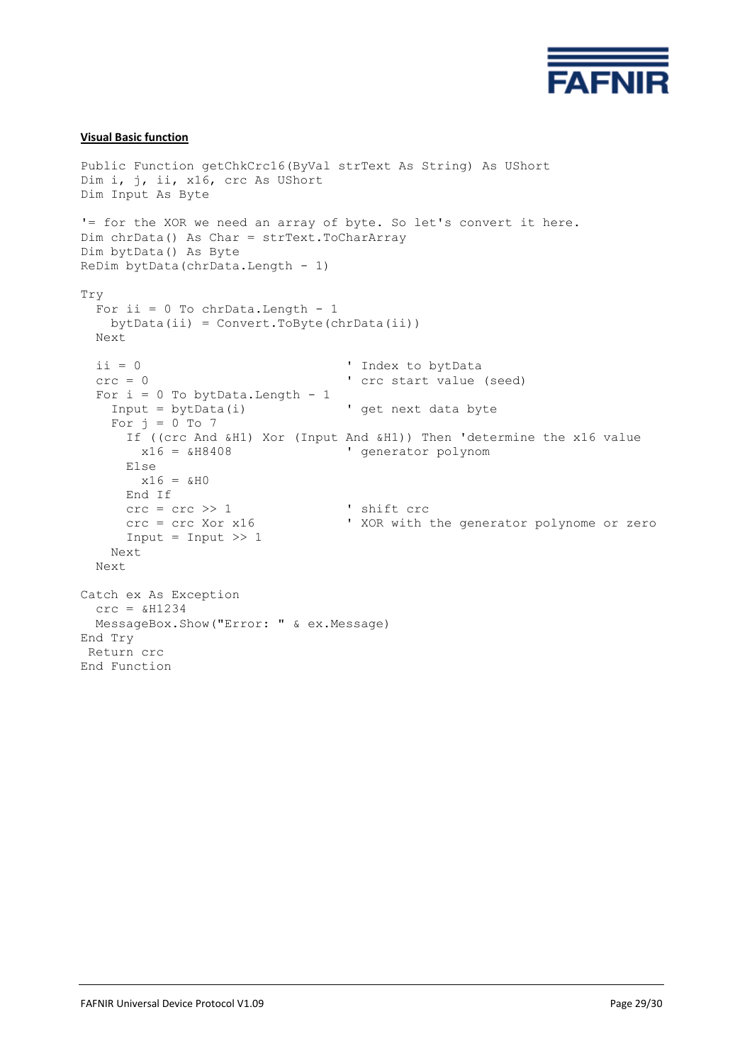

## **Visual Basic function**

```
Public Function getChkCrc16(ByVal strText As String) As UShort
Dim i, j, ii, x16, crc As UShort
Dim Input As Byte
'= for the XOR we need an array of byte. So let's convert it here.
Dim chrData() As Char = strText.ToCharArray
Dim bytData() As Byte
ReDim bytData(chrData.Length - 1)
Try
 For ii = 0 To chrData. Length - 1
   byteData(i) = Convert.FoByte(chrData(ii))Next
  ii = 0 ' Index to bytData
  crc = 0 ' crc start value (seed)
  For i = 0 To bytData. Length - 1
    Input = bytData(i) ' get next data byte
    For j = 0 To 7
       If ((crc And &H1) Xor (Input And &H1)) Then 'determine the x16 value
        x16 = &H8408 ' generator polynom
       Else
       x16 = xH0 End If
      \begin{array}{ccc} \text{circ} & = & \text{circ} \gg 1 \\ \text{circ} & = & \text{circ} \text{ Xor } x16 \end{array} ' shift crc
                                   ' XOR with the generator polynome or zero
      Input = Input \gg 1 Next
 Next
Catch ex As Exception
 \text{crc} = \text{$\text{h}1234$}MessageBox.Show("Error: " & ex.Message)
End Try
Return crc
End Function
```